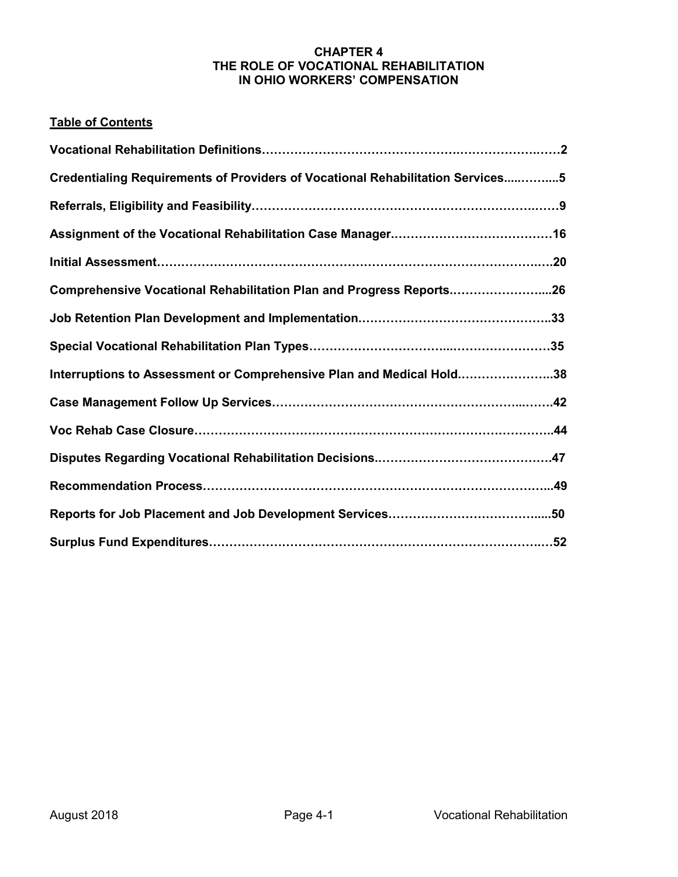### **CHAPTER 4 THE ROLE OF VOCATIONAL REHABILITATION IN OHIO WORKERS' COMPENSATION**

## **Table of Contents**

| Credentialing Requirements of Providers of Vocational Rehabilitation Services5 |  |
|--------------------------------------------------------------------------------|--|
|                                                                                |  |
|                                                                                |  |
|                                                                                |  |
| Comprehensive Vocational Rehabilitation Plan and Progress Reports26            |  |
|                                                                                |  |
|                                                                                |  |
| Interruptions to Assessment or Comprehensive Plan and Medical Hold38           |  |
|                                                                                |  |
|                                                                                |  |
|                                                                                |  |
|                                                                                |  |
|                                                                                |  |
|                                                                                |  |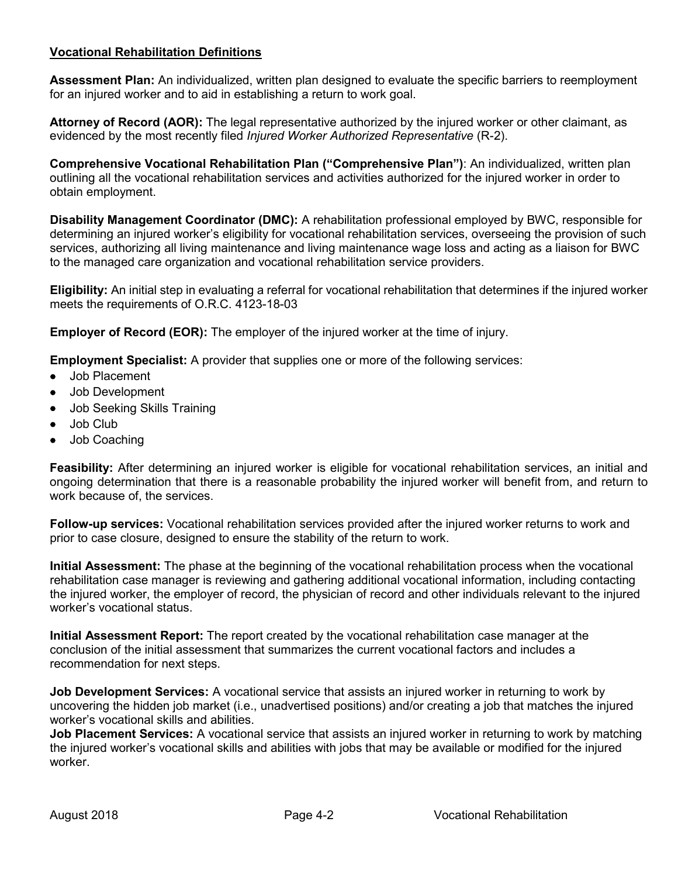## **Vocational Rehabilitation Definitions**

**Assessment Plan:** An individualized, written plan designed to evaluate the specific barriers to reemployment for an injured worker and to aid in establishing a return to work goal.

**Attorney of Record (AOR):** The legal representative authorized by the injured worker or other claimant, as evidenced by the most recently filed *Injured Worker Authorized Representative* (R-2).

**Comprehensive Vocational Rehabilitation Plan ("Comprehensive Plan")**: An individualized, written plan outlining all the vocational rehabilitation services and activities authorized for the injured worker in order to obtain employment.

**Disability Management Coordinator (DMC):** A rehabilitation professional employed by BWC, responsible for determining an injured worker's eligibility for vocational rehabilitation services, overseeing the provision of such services, authorizing all living maintenance and living maintenance wage loss and acting as a liaison for BWC to the managed care organization and vocational rehabilitation service providers.

**Eligibility:** An initial step in evaluating a referral for vocational rehabilitation that determines if the injured worker meets the requirements of O.R.C. 4123-18-03

**Employer of Record (EOR):** The employer of the injured worker at the time of injury.

**Employment Specialist:** A provider that supplies one or more of the following services:

- Job Placement
- Job Development
- Job Seeking Skills Training
- Job Club
- Job Coaching

**Feasibility:** After determining an injured worker is eligible for vocational rehabilitation services, an initial and ongoing determination that there is a reasonable probability the injured worker will benefit from, and return to work because of, the services.

**Follow-up services:** Vocational rehabilitation services provided after the injured worker returns to work and prior to case closure, designed to ensure the stability of the return to work.

**Initial Assessment:** The phase at the beginning of the vocational rehabilitation process when the vocational rehabilitation case manager is reviewing and gathering additional vocational information, including contacting the injured worker, the employer of record, the physician of record and other individuals relevant to the injured worker's vocational status.

**Initial Assessment Report:** The report created by the vocational rehabilitation case manager at the conclusion of the initial assessment that summarizes the current vocational factors and includes a recommendation for next steps.

**Job Development Services:** A vocational service that assists an injured worker in returning to work by uncovering the hidden job market (i.e., unadvertised positions) and/or creating a job that matches the injured worker's vocational skills and abilities.

**Job Placement Services:** A vocational service that assists an injured worker in returning to work by matching the injured worker's vocational skills and abilities with jobs that may be available or modified for the injured worker.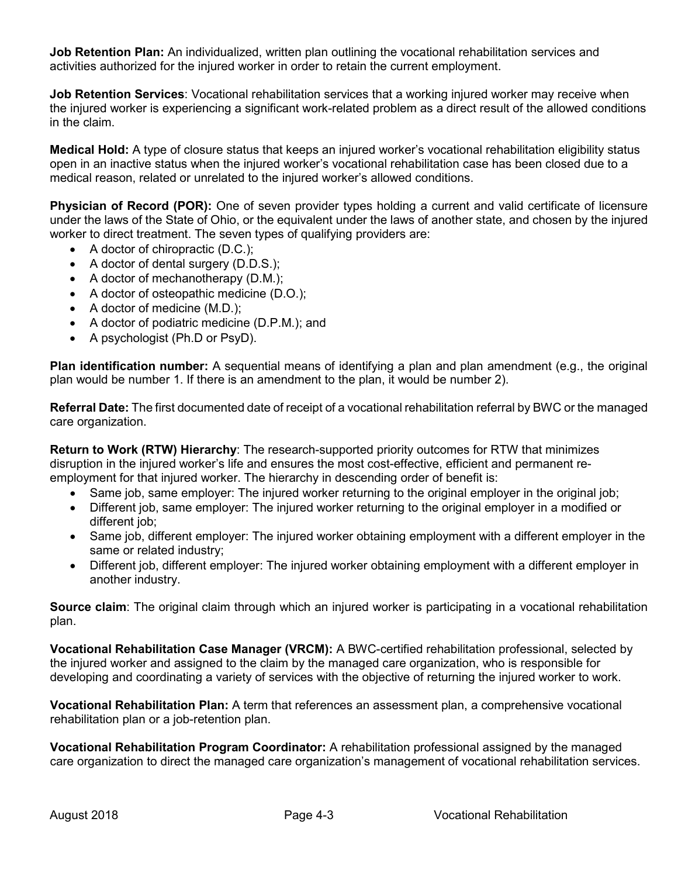**Job Retention Plan:** An individualized, written plan outlining the vocational rehabilitation services and activities authorized for the injured worker in order to retain the current employment.

**Job Retention Services**: Vocational rehabilitation services that a working injured worker may receive when the injured worker is experiencing a significant work-related problem as a direct result of the allowed conditions in the claim.

**Medical Hold:** A type of closure status that keeps an injured worker's vocational rehabilitation eligibility status open in an inactive status when the injured worker's vocational rehabilitation case has been closed due to a medical reason, related or unrelated to the injured worker's allowed conditions.

**Physician of Record (POR):** One of seven provider types holding a current and valid certificate of licensure under the laws of the State of Ohio, or the equivalent under the laws of another state, and chosen by the injured worker to direct treatment. The seven types of qualifying providers are:

- A doctor of chiropractic (D.C.);
- A doctor of dental surgery (D.D.S.);
- A doctor of mechanotherapy (D.M.);
- A doctor of osteopathic medicine (D.O.);
- A doctor of medicine (M.D.);
- A doctor of podiatric medicine (D.P.M.); and
- A psychologist (Ph.D or PsyD).

**Plan identification number:** A sequential means of identifying a plan and plan amendment (e.g., the original plan would be number 1. If there is an amendment to the plan, it would be number 2).

**Referral Date:** The first documented date of receipt of a vocational rehabilitation referral by BWC or the managed care organization.

**Return to Work (RTW) Hierarchy**: The research-supported priority outcomes for RTW that minimizes disruption in the injured worker's life and ensures the most cost-effective, efficient and permanent reemployment for that injured worker. The hierarchy in descending order of benefit is:

- Same job, same employer: The injured worker returning to the original employer in the original job;
- Different job, same employer: The injured worker returning to the original employer in a modified or different job;
- Same job, different employer: The injured worker obtaining employment with a different employer in the same or related industry;
- Different job, different employer: The injured worker obtaining employment with a different employer in another industry.

**Source claim**: The original claim through which an injured worker is participating in a vocational rehabilitation plan.

**Vocational Rehabilitation Case Manager (VRCM):** A BWC-certified rehabilitation professional, selected by the injured worker and assigned to the claim by the managed care organization, who is responsible for developing and coordinating a variety of services with the objective of returning the injured worker to work.

**Vocational Rehabilitation Plan:** A term that references an assessment plan, a comprehensive vocational rehabilitation plan or a job-retention plan.

**Vocational Rehabilitation Program Coordinator:** A rehabilitation professional assigned by the managed care organization to direct the managed care organization's management of vocational rehabilitation services.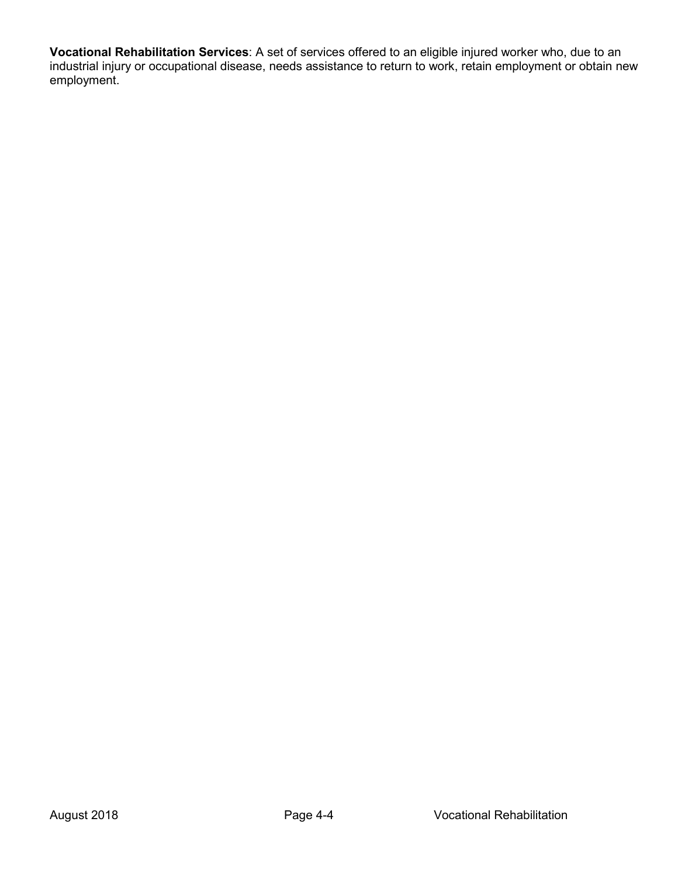**Vocational Rehabilitation Services**: A set of services offered to an eligible injured worker who, due to an industrial injury or occupational disease, needs assistance to return to work, retain employment or obtain new employment.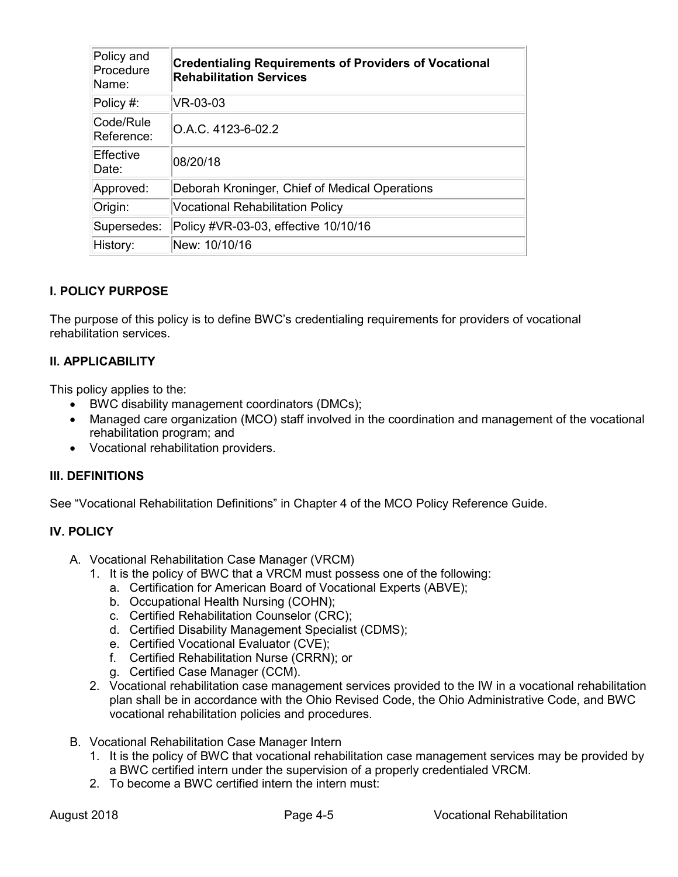| Policy and<br>Procedure<br>Name: | <b>Credentialing Requirements of Providers of Vocational</b><br><b>Rehabilitation Services</b> |
|----------------------------------|------------------------------------------------------------------------------------------------|
| Policy #:                        | VR-03-03                                                                                       |
| Code/Rule<br>Reference:          | O.A.C. 4123-6-02.2                                                                             |
| Effective<br>Date:               | 08/20/18                                                                                       |
| Approved:                        | Deborah Kroninger, Chief of Medical Operations                                                 |
| Origin:                          | <b>Vocational Rehabilitation Policy</b>                                                        |
| Supersedes:                      | Policy #VR-03-03, effective 10/10/16                                                           |
| History:                         | New: 10/10/16                                                                                  |

The purpose of this policy is to define BWC's credentialing requirements for providers of vocational rehabilitation services.

## **II. APPLICABILITY**

This policy applies to the:

- BWC disability management coordinators (DMCs);
- Managed care organization (MCO) staff involved in the coordination and management of the vocational rehabilitation program; and
- Vocational rehabilitation providers.

### **III. DEFINITIONS**

See "Vocational Rehabilitation Definitions" in Chapter 4 of the MCO Policy Reference Guide.

### **IV. POLICY**

- A. Vocational Rehabilitation Case Manager (VRCM)
	- 1. It is the policy of BWC that a VRCM must possess one of the following:
		- a. Certification for American Board of Vocational Experts (ABVE);
		- b. Occupational Health Nursing (COHN);
		- c. Certified Rehabilitation Counselor (CRC);
		- d. Certified Disability Management Specialist (CDMS);
		- e. Certified Vocational Evaluator (CVE);
		- f. Certified Rehabilitation Nurse (CRRN); or
		- g. Certified Case Manager (CCM).
	- 2. Vocational rehabilitation case management services provided to the IW in a vocational rehabilitation plan shall be in accordance with the Ohio Revised Code, the Ohio Administrative Code, and BWC vocational rehabilitation policies and procedures.
- B. Vocational Rehabilitation Case Manager Intern
	- 1. It is the policy of BWC that vocational rehabilitation case management services may be provided by a BWC certified intern under the supervision of a properly credentialed VRCM.
	- 2. To become a BWC certified intern the intern must: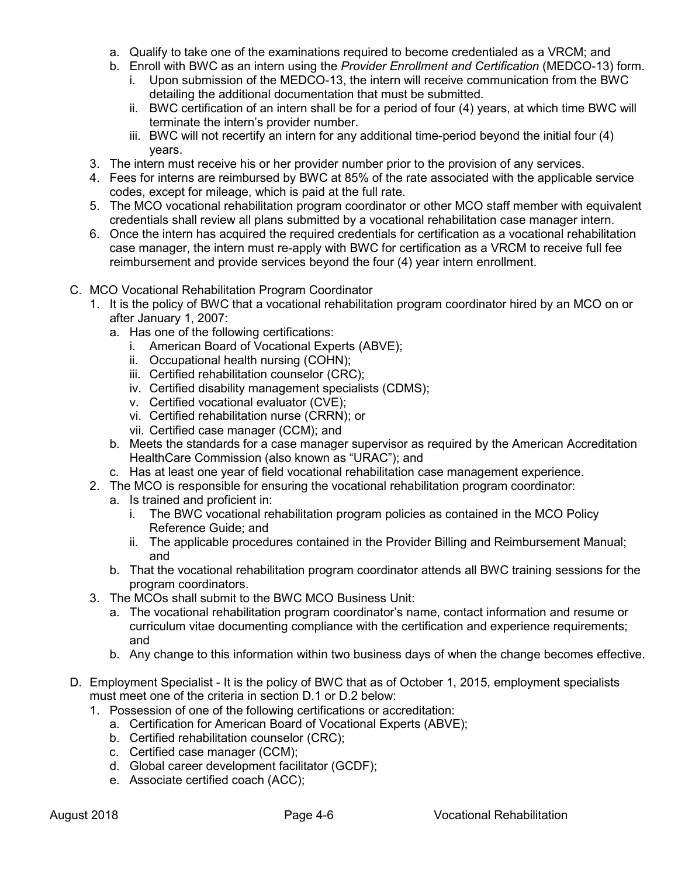- a. Qualify to take one of the examinations required to become credentialed as a VRCM; and
- b. Enroll with BWC as an intern using the *Provider Enrollment and Certification* (MEDCO-13) form.
	- i. Upon submission of the MEDCO-13, the intern will receive communication from the BWC detailing the additional documentation that must be submitted.
	- ii. BWC certification of an intern shall be for a period of four (4) years, at which time BWC will terminate the intern's provider number.
	- iii. BWC will not recertify an intern for any additional time-period beyond the initial four (4) years.
- 3. The intern must receive his or her provider number prior to the provision of any services.
- 4. Fees for interns are reimbursed by BWC at 85% of the rate associated with the applicable service codes, except for mileage, which is paid at the full rate.
- 5. The MCO vocational rehabilitation program coordinator or other MCO staff member with equivalent credentials shall review all plans submitted by a vocational rehabilitation case manager intern.
- 6. Once the intern has acquired the required credentials for certification as a vocational rehabilitation case manager, the intern must re-apply with BWC for certification as a VRCM to receive full fee reimbursement and provide services beyond the four (4) year intern enrollment.
- C. MCO Vocational Rehabilitation Program Coordinator
	- 1. It is the policy of BWC that a vocational rehabilitation program coordinator hired by an MCO on or after January 1, 2007:
		- a. Has one of the following certifications:
			- i. American Board of Vocational Experts (ABVE);
			- ii. Occupational health nursing (COHN);
			- iii. Certified rehabilitation counselor (CRC);
			- iv. Certified disability management specialists (CDMS);
			- v. Certified vocational evaluator (CVE);
			- vi. Certified rehabilitation nurse (CRRN); or
			- vii. Certified case manager (CCM); and
		- b. Meets the standards for a case manager supervisor as required by the American Accreditation HealthCare Commission (also known as "URAC"); and
		- c. Has at least one year of field vocational rehabilitation case management experience.
	- 2. The MCO is responsible for ensuring the vocational rehabilitation program coordinator:
		- a. Is trained and proficient in:
			- i. The BWC vocational rehabilitation program policies as contained in the MCO Policy Reference Guide; and
			- ii. The applicable procedures contained in the Provider Billing and Reimbursement Manual; and
		- b. That the vocational rehabilitation program coordinator attends all BWC training sessions for the program coordinators.
	- 3. The MCOs shall submit to the BWC MCO Business Unit:
		- a. The vocational rehabilitation program coordinator's name, contact information and resume or curriculum vitae documenting compliance with the certification and experience requirements; and
		- b. Any change to this information within two business days of when the change becomes effective.
- D. Employment Specialist It is the policy of BWC that as of October 1, 2015, employment specialists must meet one of the criteria in section D.1 or D.2 below:
	- 1. Possession of one of the following certifications or accreditation:
		- a. Certification for American Board of Vocational Experts (ABVE);
		- b. Certified rehabilitation counselor (CRC);
		- c. Certified case manager (CCM);
		- d. Global career development facilitator (GCDF);
		- e. Associate certified coach (ACC);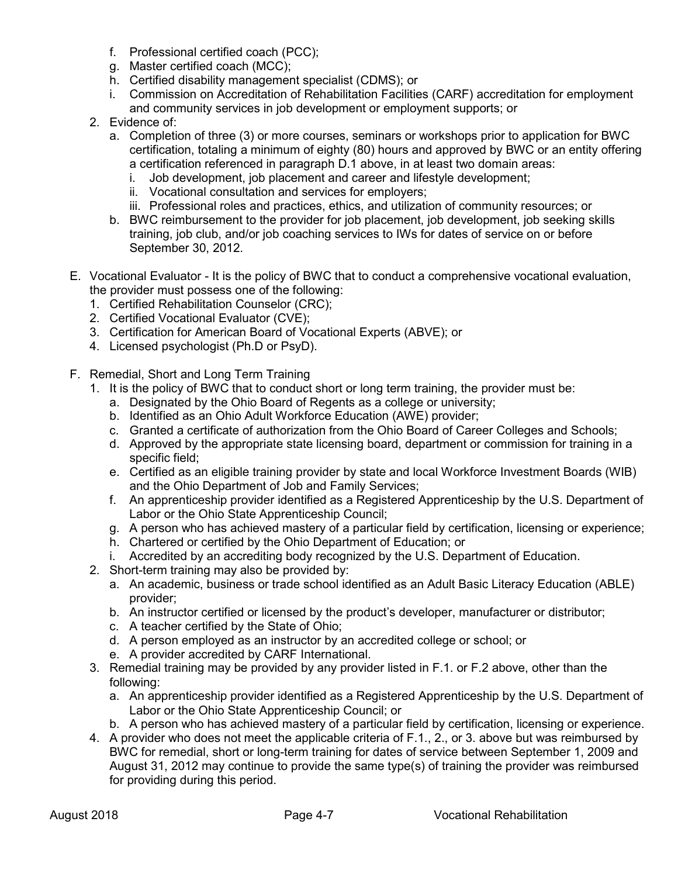- f. Professional certified coach (PCC);
- g. Master certified coach (MCC);
- h. Certified disability management specialist (CDMS); or
- i. Commission on Accreditation of Rehabilitation Facilities (CARF) accreditation for employment and community services in job development or employment supports; or
- 2. Evidence of:
	- a. Completion of three (3) or more courses, seminars or workshops prior to application for BWC certification, totaling a minimum of eighty (80) hours and approved by BWC or an entity offering a certification referenced in paragraph D.1 above, in at least two domain areas:
		- i. Job development, job placement and career and lifestyle development;
		- ii. Vocational consultation and services for employers;
		- iii. Professional roles and practices, ethics, and utilization of community resources; or
	- b. BWC reimbursement to the provider for job placement, job development, job seeking skills training, job club, and/or job coaching services to IWs for dates of service on or before September 30, 2012.
- E. Vocational Evaluator It is the policy of BWC that to conduct a comprehensive vocational evaluation, the provider must possess one of the following:
	- 1. Certified Rehabilitation Counselor (CRC);
	- 2. Certified Vocational Evaluator (CVE);
	- 3. Certification for American Board of Vocational Experts (ABVE); or
	- 4. Licensed psychologist (Ph.D or PsyD).
- F. Remedial, Short and Long Term Training
	- 1. It is the policy of BWC that to conduct short or long term training, the provider must be:
		- a. Designated by the Ohio Board of Regents as a college or university;
		- b. Identified as an Ohio Adult Workforce Education (AWE) provider;
		- c. Granted a certificate of authorization from the Ohio Board of Career Colleges and Schools;
		- d. Approved by the appropriate state licensing board, department or commission for training in a specific field;
		- e. Certified as an eligible training provider by state and local Workforce Investment Boards (WIB) and the Ohio Department of Job and Family Services;
		- f. An apprenticeship provider identified as a Registered Apprenticeship by the U.S. Department of Labor or the Ohio State Apprenticeship Council;
		- g. A person who has achieved mastery of a particular field by certification, licensing or experience;
		- h. Chartered or certified by the Ohio Department of Education; or
		- i. Accredited by an accrediting body recognized by the U.S. Department of Education.
	- 2. Short-term training may also be provided by:
		- a. An academic, business or trade school identified as an Adult Basic Literacy Education (ABLE) provider;
		- b. An instructor certified or licensed by the product's developer, manufacturer or distributor;
		- c. A teacher certified by the State of Ohio;
		- d. A person employed as an instructor by an accredited college or school; or
		- e. A provider accredited by CARF International.
	- 3. Remedial training may be provided by any provider listed in F.1. or F.2 above, other than the following:
		- a. An apprenticeship provider identified as a Registered Apprenticeship by the U.S. Department of Labor or the Ohio State Apprenticeship Council; or
		- b. A person who has achieved mastery of a particular field by certification, licensing or experience.
	- 4. A provider who does not meet the applicable criteria of F.1., 2., or 3. above but was reimbursed by BWC for remedial, short or long-term training for dates of service between September 1, 2009 and August 31, 2012 may continue to provide the same type(s) of training the provider was reimbursed for providing during this period.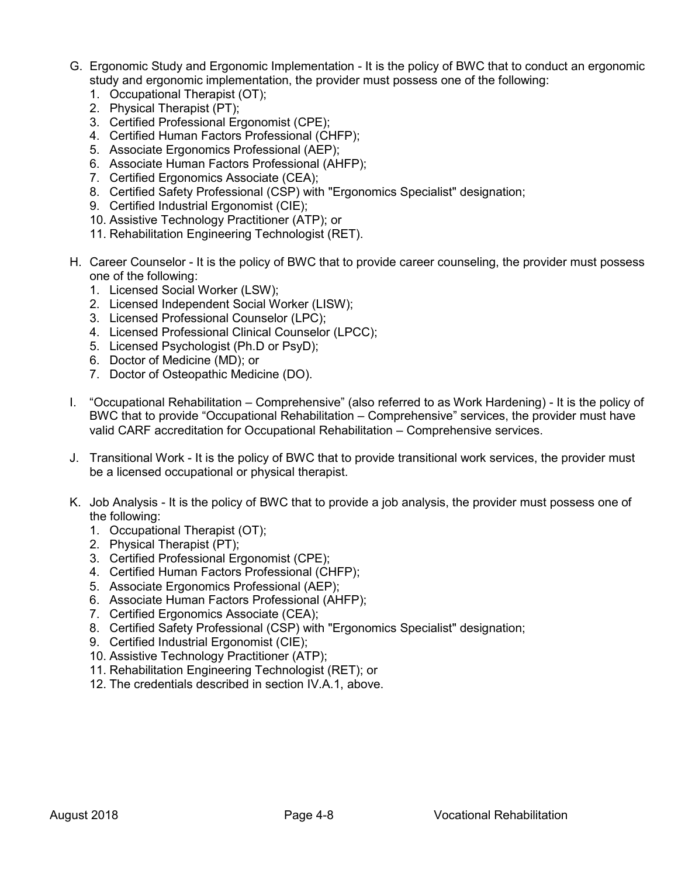- G. Ergonomic Study and Ergonomic Implementation It is the policy of BWC that to conduct an ergonomic study and ergonomic implementation, the provider must possess one of the following:
	- 1. Occupational Therapist (OT);
	- 2. Physical Therapist (PT);
	- 3. Certified Professional Ergonomist (CPE);
	- 4. Certified Human Factors Professional (CHFP);
	- 5. Associate Ergonomics Professional (AEP);
	- 6. Associate Human Factors Professional (AHFP);
	- 7. Certified Ergonomics Associate (CEA);
	- 8. Certified Safety Professional (CSP) with "Ergonomics Specialist" designation;
	- 9. Certified Industrial Ergonomist (CIE);
	- 10. Assistive Technology Practitioner (ATP); or
	- 11. Rehabilitation Engineering Technologist (RET).
- H. Career Counselor It is the policy of BWC that to provide career counseling, the provider must possess one of the following:
	- 1. Licensed Social Worker (LSW);
	- 2. Licensed Independent Social Worker (LISW);
	- 3. Licensed Professional Counselor (LPC);
	- 4. Licensed Professional Clinical Counselor (LPCC);
	- 5. Licensed Psychologist (Ph.D or PsyD);
	- 6. Doctor of Medicine (MD); or
	- 7. Doctor of Osteopathic Medicine (DO).
- I. "Occupational Rehabilitation Comprehensive" (also referred to as Work Hardening) It is the policy of BWC that to provide "Occupational Rehabilitation – Comprehensive" services, the provider must have valid CARF accreditation for Occupational Rehabilitation – Comprehensive services.
- J. Transitional Work It is the policy of BWC that to provide transitional work services, the provider must be a licensed occupational or physical therapist.
- K. Job Analysis It is the policy of BWC that to provide a job analysis, the provider must possess one of the following:
	- 1. Occupational Therapist (OT);
	- 2. Physical Therapist (PT);
	- 3. Certified Professional Ergonomist (CPE);
	- 4. Certified Human Factors Professional (CHFP);
	- 5. Associate Ergonomics Professional (AEP);
	- 6. Associate Human Factors Professional (AHFP);
	- 7. Certified Ergonomics Associate (CEA);
	- 8. Certified Safety Professional (CSP) with "Ergonomics Specialist" designation;
	- 9. Certified Industrial Ergonomist (CIE);
	- 10. Assistive Technology Practitioner (ATP);
	- 11. Rehabilitation Engineering Technologist (RET); or
	- 12. The credentials described in section IV.A.1, above.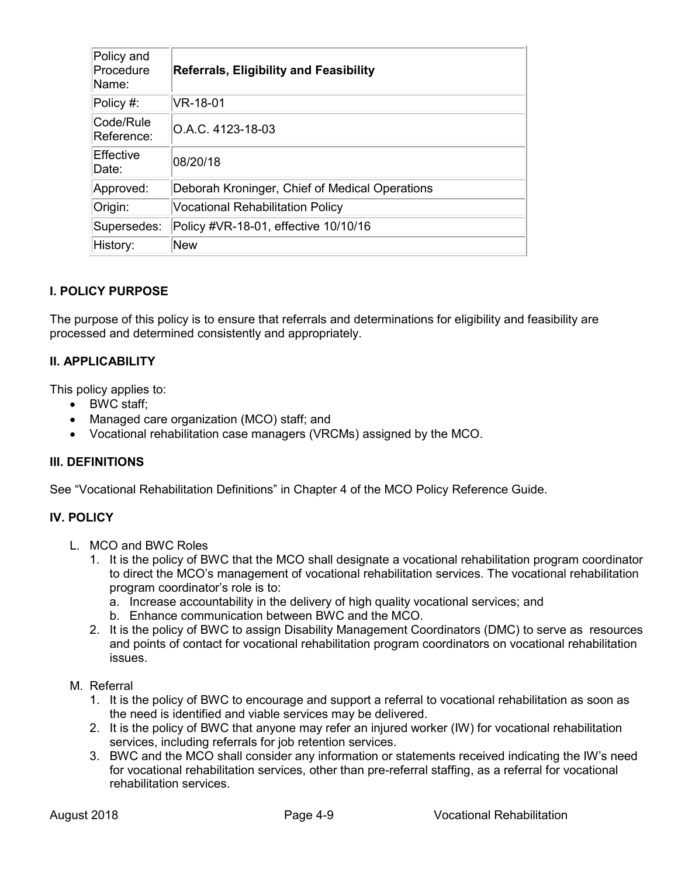| Policy and<br>Procedure<br>Name: | <b>Referrals, Eligibility and Feasibility</b>  |
|----------------------------------|------------------------------------------------|
| Policy #:                        | VR-18-01                                       |
| Code/Rule<br>Reference:          | O.A.C. 4123-18-03                              |
| Effective<br>Date:               | 08/20/18                                       |
| Approved:                        | Deborah Kroninger, Chief of Medical Operations |
| Origin:                          | <b>Vocational Rehabilitation Policy</b>        |
| Supersedes:                      | Policy #VR-18-01, effective 10/10/16           |
| History:                         | <b>New</b>                                     |

The purpose of this policy is to ensure that referrals and determinations for eligibility and feasibility are processed and determined consistently and appropriately.

## **II. APPLICABILITY**

This policy applies to:

- BWC staff;
- Managed care organization (MCO) staff; and
- Vocational rehabilitation case managers (VRCMs) assigned by the MCO.

### **III. DEFINITIONS**

See "Vocational Rehabilitation Definitions" in Chapter 4 of the MCO Policy Reference Guide.

### **IV. POLICY**

- L. MCO and BWC Roles
	- 1. It is the policy of BWC that the MCO shall designate a vocational rehabilitation program coordinator to direct the MCO's management of vocational rehabilitation services. The vocational rehabilitation program coordinator's role is to:
		- a. Increase accountability in the delivery of high quality vocational services; and
		- b. Enhance communication between BWC and the MCO.
	- 2. It is the policy of BWC to assign Disability Management Coordinators (DMC) to serve as resources and points of contact for vocational rehabilitation program coordinators on vocational rehabilitation issues.
- M. Referral
	- 1. It is the policy of BWC to encourage and support a referral to vocational rehabilitation as soon as the need is identified and viable services may be delivered.
	- 2. It is the policy of BWC that anyone may refer an injured worker (IW) for vocational rehabilitation services, including referrals for job retention services.
	- 3. BWC and the MCO shall consider any information or statements received indicating the IW's need for vocational rehabilitation services, other than pre-referral staffing, as a referral for vocational rehabilitation services.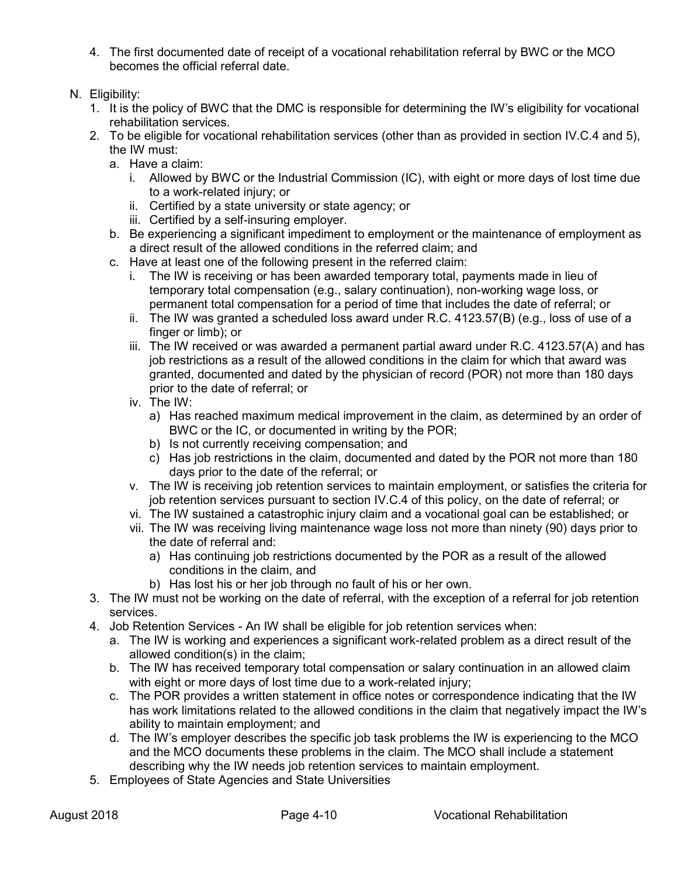- 4. The first documented date of receipt of a vocational rehabilitation referral by BWC or the MCO becomes the official referral date.
- N. Eligibility:
	- 1. It is the policy of BWC that the DMC is responsible for determining the IW's eligibility for vocational rehabilitation services.
	- 2. To be eligible for vocational rehabilitation services (other than as provided in section IV.C.4 and 5), the IW must:
		- a. Have a claim:
			- i. Allowed by BWC or the Industrial Commission (IC), with eight or more days of lost time due to a work-related injury; or
			- ii. Certified by a state university or state agency; or
			- iii. Certified by a self-insuring employer.
		- b. Be experiencing a significant impediment to employment or the maintenance of employment as a direct result of the allowed conditions in the referred claim; and
		- c. Have at least one of the following present in the referred claim:
			- i. The IW is receiving or has been awarded temporary total, payments made in lieu of temporary total compensation (e.g., salary continuation), non-working wage loss, or permanent total compensation for a period of time that includes the date of referral; or
			- ii. The IW was granted a scheduled loss award under R.C. 4123.57(B) (e.g., loss of use of a finger or limb); or
			- iii. The IW received or was awarded a permanent partial award under R.C. 4123.57(A) and has job restrictions as a result of the allowed conditions in the claim for which that award was granted, documented and dated by the physician of record (POR) not more than 180 days prior to the date of referral; or
			- iv. The IW:
				- a) Has reached maximum medical improvement in the claim, as determined by an order of BWC or the IC, or documented in writing by the POR;
				- b) Is not currently receiving compensation; and
				- c) Has job restrictions in the claim, documented and dated by the POR not more than 180 days prior to the date of the referral; or
			- v. The IW is receiving job retention services to maintain employment, or satisfies the criteria for job retention services pursuant to section IV.C.4 of this policy, on the date of referral; or
			- vi. The IW sustained a catastrophic injury claim and a vocational goal can be established; or
			- vii. The IW was receiving living maintenance wage loss not more than ninety (90) days prior to the date of referral and:
				- a) Has continuing job restrictions documented by the POR as a result of the allowed conditions in the claim, and
				- b) Has lost his or her job through no fault of his or her own.
	- 3. The IW must not be working on the date of referral, with the exception of a referral for job retention services.
	- 4. Job Retention Services An IW shall be eligible for job retention services when:
		- a. The IW is working and experiences a significant work-related problem as a direct result of the allowed condition(s) in the claim;
		- b. The IW has received temporary total compensation or salary continuation in an allowed claim with eight or more days of lost time due to a work-related injury;
		- c. The POR provides a written statement in office notes or correspondence indicating that the IW has work limitations related to the allowed conditions in the claim that negatively impact the IW's ability to maintain employment; and
		- d. The IW's employer describes the specific job task problems the IW is experiencing to the MCO and the MCO documents these problems in the claim. The MCO shall include a statement describing why the IW needs job retention services to maintain employment.
	- 5. Employees of State Agencies and State Universities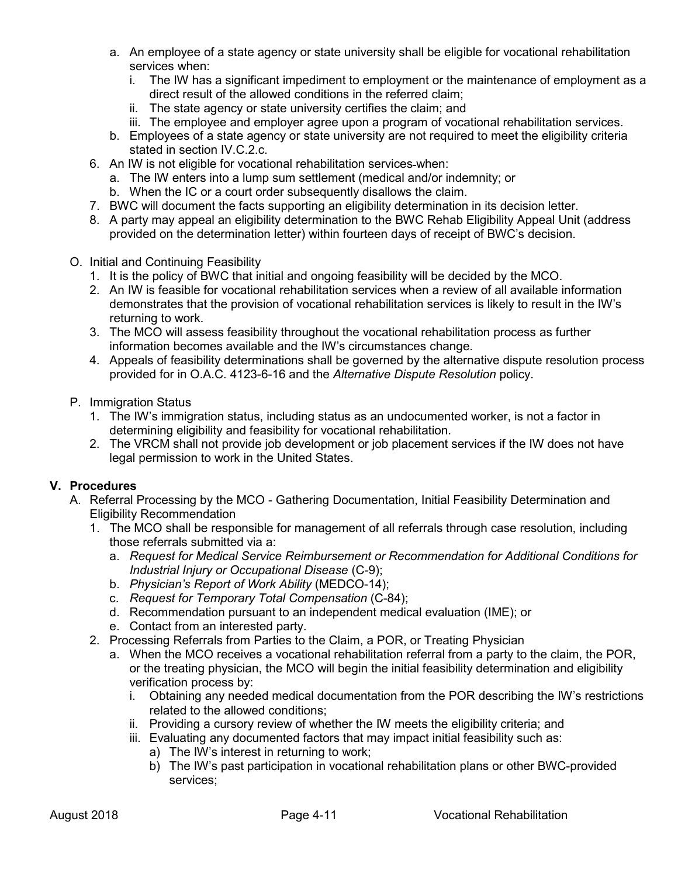- a. An employee of a state agency or state university shall be eligible for vocational rehabilitation services when:
	- i. The IW has a significant impediment to employment or the maintenance of employment as a direct result of the allowed conditions in the referred claim;
	- ii. The state agency or state university certifies the claim; and
	- iii. The employee and employer agree upon a program of vocational rehabilitation services.
- b. Employees of a state agency or state university are not required to meet the eligibility criteria stated in section IV.C.2.c.
- 6. An IW is not eligible for vocational rehabilitation services when:
	- a. The IW enters into a lump sum settlement (medical and/or indemnity; or
	- b. When the IC or a court order subsequently disallows the claim.
- 7. BWC will document the facts supporting an eligibility determination in its decision letter.
- 8. A party may appeal an eligibility determination to the BWC Rehab Eligibility Appeal Unit (address provided on the determination letter) within fourteen days of receipt of BWC's decision.
- O. Initial and Continuing Feasibility
	- 1. It is the policy of BWC that initial and ongoing feasibility will be decided by the MCO.
	- 2. An IW is feasible for vocational rehabilitation services when a review of all available information demonstrates that the provision of vocational rehabilitation services is likely to result in the IW's returning to work.
	- 3. The MCO will assess feasibility throughout the vocational rehabilitation process as further information becomes available and the IW's circumstances change.
	- 4. Appeals of feasibility determinations shall be governed by the alternative dispute resolution process provided for in O.A.C. 4123-6-16 and the *Alternative Dispute Resolution* policy.
- P. Immigration Status
	- 1. The IW's immigration status, including status as an undocumented worker, is not a factor in determining eligibility and feasibility for vocational rehabilitation.
	- 2. The VRCM shall not provide job development or job placement services if the IW does not have legal permission to work in the United States.

# **V. Procedures**

- A. Referral Processing by the MCO Gathering Documentation, Initial Feasibility Determination and Eligibility Recommendation
	- 1. The MCO shall be responsible for management of all referrals through case resolution, including those referrals submitted via a:
		- a. *Request for Medical Service Reimbursement or Recommendation for Additional Conditions for Industrial Injury or Occupational Disease* (C-9);
		- b. *Physician's Report of Work Ability* (MEDCO-14);
		- c. *Request for Temporary Total Compensation* (C-84);
		- d. Recommendation pursuant to an independent medical evaluation (IME); or
		- e. Contact from an interested party.
	- 2. Processing Referrals from Parties to the Claim, a POR, or Treating Physician
		- a. When the MCO receives a vocational rehabilitation referral from a party to the claim, the POR, or the treating physician, the MCO will begin the initial feasibility determination and eligibility verification process by:
			- i. Obtaining any needed medical documentation from the POR describing the IW's restrictions related to the allowed conditions;
			- ii. Providing a cursory review of whether the IW meets the eligibility criteria; and
			- iii. Evaluating any documented factors that may impact initial feasibility such as:
				- a) The IW's interest in returning to work;
				- b) The IW's past participation in vocational rehabilitation plans or other BWC-provided services;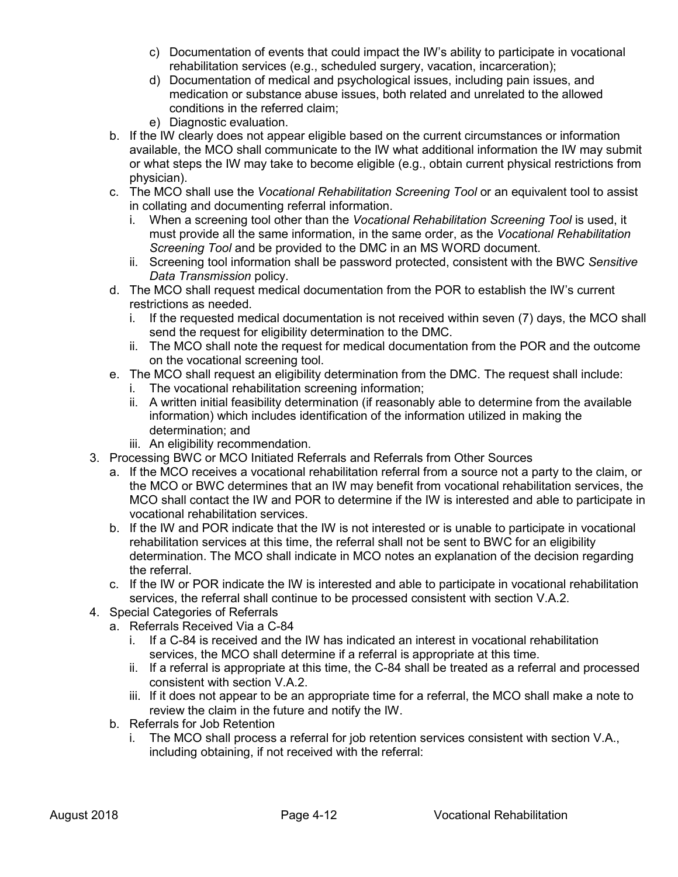- c) Documentation of events that could impact the IW's ability to participate in vocational rehabilitation services (e.g., scheduled surgery, vacation, incarceration);
- d) Documentation of medical and psychological issues, including pain issues, and medication or substance abuse issues, both related and unrelated to the allowed conditions in the referred claim;
- e) Diagnostic evaluation.
- b. If the IW clearly does not appear eligible based on the current circumstances or information available, the MCO shall communicate to the IW what additional information the IW may submit or what steps the IW may take to become eligible (e.g., obtain current physical restrictions from physician).
- c. The MCO shall use the *Vocational Rehabilitation Screening Tool* or an equivalent tool to assist in collating and documenting referral information.
	- i. When a screening tool other than the *Vocational Rehabilitation Screening Tool* is used, it must provide all the same information, in the same order, as the *Vocational Rehabilitation Screening Tool* and be provided to the DMC in an MS WORD document.
	- ii. Screening tool information shall be password protected, consistent with the BWC *Sensitive Data Transmission* policy.
- d. The MCO shall request medical documentation from the POR to establish the IW's current restrictions as needed.
	- i. If the requested medical documentation is not received within seven (7) days, the MCO shall send the request for eligibility determination to the DMC.
	- ii. The MCO shall note the request for medical documentation from the POR and the outcome on the vocational screening tool.
- e. The MCO shall request an eligibility determination from the DMC. The request shall include:
	- i. The vocational rehabilitation screening information;
	- ii. A written initial feasibility determination (if reasonably able to determine from the available information) which includes identification of the information utilized in making the determination; and
	- iii. An eligibility recommendation.
- 3. Processing BWC or MCO Initiated Referrals and Referrals from Other Sources
	- a. If the MCO receives a vocational rehabilitation referral from a source not a party to the claim, or the MCO or BWC determines that an IW may benefit from vocational rehabilitation services, the MCO shall contact the IW and POR to determine if the IW is interested and able to participate in vocational rehabilitation services.
	- b. If the IW and POR indicate that the IW is not interested or is unable to participate in vocational rehabilitation services at this time, the referral shall not be sent to BWC for an eligibility determination. The MCO shall indicate in MCO notes an explanation of the decision regarding the referral.
	- c. If the IW or POR indicate the IW is interested and able to participate in vocational rehabilitation services, the referral shall continue to be processed consistent with section V.A.2.
- 4. Special Categories of Referrals
	- a. Referrals Received Via a C-84
		- i. If a C-84 is received and the IW has indicated an interest in vocational rehabilitation services, the MCO shall determine if a referral is appropriate at this time.
		- ii. If a referral is appropriate at this time, the C-84 shall be treated as a referral and processed consistent with section V.A.2.
		- iii. If it does not appear to be an appropriate time for a referral, the MCO shall make a note to review the claim in the future and notify the IW.
	- b. Referrals for Job Retention
		- i. The MCO shall process a referral for job retention services consistent with section V.A., including obtaining, if not received with the referral: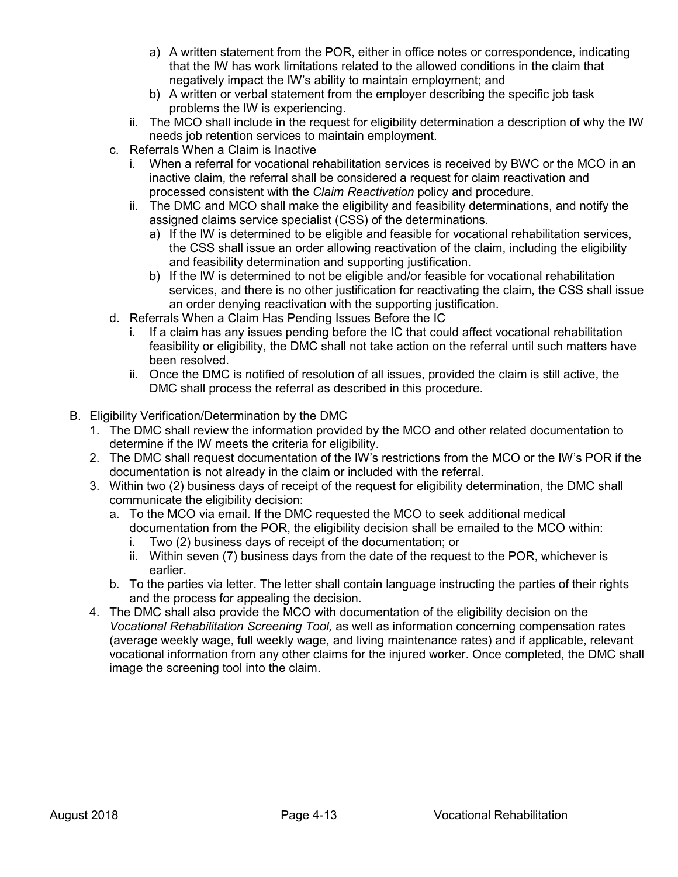- a) A written statement from the POR, either in office notes or correspondence, indicating that the IW has work limitations related to the allowed conditions in the claim that negatively impact the IW's ability to maintain employment; and
- b) A written or verbal statement from the employer describing the specific job task problems the IW is experiencing.
- ii. The MCO shall include in the request for eligibility determination a description of why the IW needs job retention services to maintain employment.
- c. Referrals When a Claim is Inactive
	- i. When a referral for vocational rehabilitation services is received by BWC or the MCO in an inactive claim, the referral shall be considered a request for claim reactivation and processed consistent with the *Claim Reactivation* policy and procedure.
	- ii. The DMC and MCO shall make the eligibility and feasibility determinations, and notify the assigned claims service specialist (CSS) of the determinations.
		- a) If the IW is determined to be eligible and feasible for vocational rehabilitation services, the CSS shall issue an order allowing reactivation of the claim, including the eligibility and feasibility determination and supporting justification.
		- b) If the IW is determined to not be eligible and/or feasible for vocational rehabilitation services, and there is no other justification for reactivating the claim, the CSS shall issue an order denying reactivation with the supporting justification.
- d. Referrals When a Claim Has Pending Issues Before the IC
	- i. If a claim has any issues pending before the IC that could affect vocational rehabilitation feasibility or eligibility, the DMC shall not take action on the referral until such matters have been resolved.
	- ii. Once the DMC is notified of resolution of all issues, provided the claim is still active, the DMC shall process the referral as described in this procedure.
- B. Eligibility Verification/Determination by the DMC
	- 1. The DMC shall review the information provided by the MCO and other related documentation to determine if the IW meets the criteria for eligibility.
	- 2. The DMC shall request documentation of the IW's restrictions from the MCO or the IW's POR if the documentation is not already in the claim or included with the referral.
	- 3. Within two (2) business days of receipt of the request for eligibility determination, the DMC shall communicate the eligibility decision:
		- a. To the MCO via email. If the DMC requested the MCO to seek additional medical documentation from the POR, the eligibility decision shall be emailed to the MCO within:
			- i. Two (2) business days of receipt of the documentation; or
			- ii. Within seven (7) business days from the date of the request to the POR, whichever is earlier.
		- b. To the parties via letter. The letter shall contain language instructing the parties of their rights and the process for appealing the decision.
	- 4. The DMC shall also provide the MCO with documentation of the eligibility decision on the *Vocational Rehabilitation Screening Tool,* as well as information concerning compensation rates (average weekly wage, full weekly wage, and living maintenance rates) and if applicable, relevant vocational information from any other claims for the injured worker. Once completed, the DMC shall image the screening tool into the claim.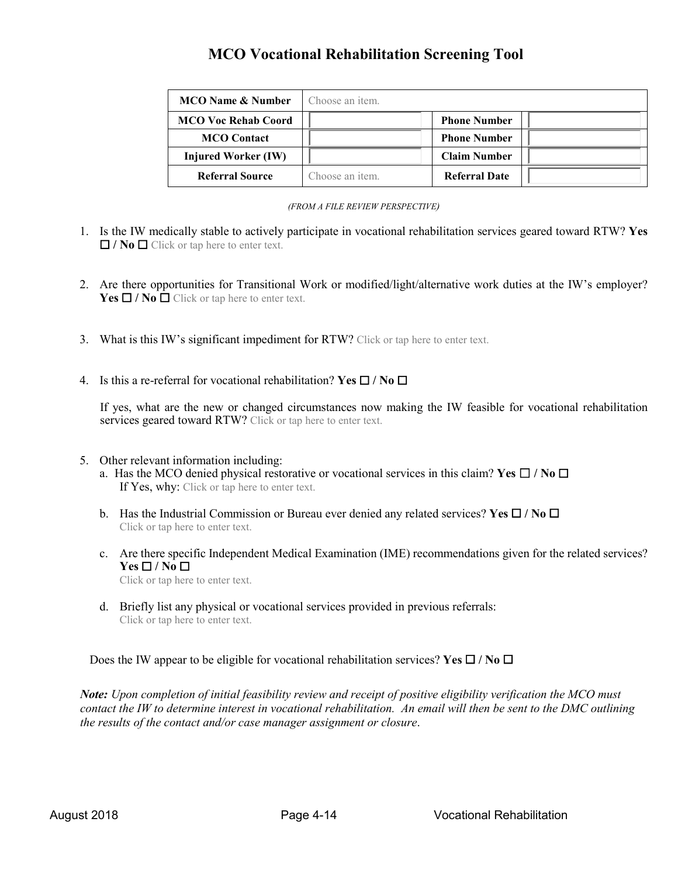# **MCO Vocational Rehabilitation Screening Tool**

| <b>MCO</b> Name & Number   | Choose an item. |                      |  |
|----------------------------|-----------------|----------------------|--|
| <b>MCO Voc Rehab Coord</b> |                 | <b>Phone Number</b>  |  |
| <b>MCO</b> Contact         |                 | <b>Phone Number</b>  |  |
| Injured Worker (IW)        |                 | <b>Claim Number</b>  |  |
| <b>Referral Source</b>     | Choose an item. | <b>Referral Date</b> |  |

#### *(FROM A FILE REVIEW PERSPECTIVE)*

- 1. Is the IW medically stable to actively participate in vocational rehabilitation services geared toward RTW? **Yes**  ☐ **/ No** ☐ Click or tap here to enter text.
- 2. Are there opportunities for Transitional Work or modified/light/alternative work duties at the IW's employer? **Yes**  $\Box$  **/ No**  $\Box$  Click or tap here to enter text.
- 3. What is this IW's significant impediment for RTW? Click or tap here to enter text.
- 4. Is this a re-referral for vocational rehabilitation? **Yes** ☐ **/ No** ☐

If yes, what are the new or changed circumstances now making the IW feasible for vocational rehabilitation services geared toward RTW? Click or tap here to enter text.

- 5. Other relevant information including:
	- a. Has the MCO denied physical restorative or vocational services in this claim? **Yes** ☐ **/ No** ☐ If Yes, why: Click or tap here to enter text.
	- b. Has the Industrial Commission or Bureau ever denied any related services? **Yes** ☐ **/ No** ☐ Click or tap here to enter text.
	- c. Are there specific Independent Medical Examination (IME) recommendations given for the related services? **Yes** ☐ **/ No** ☐

Click or tap here to enter text.

d. Briefly list any physical or vocational services provided in previous referrals: Click or tap here to enter text.

Does the IW appear to be eligible for vocational rehabilitation services? **Yes** ☐ **/ No** ☐

*Note: Upon completion of initial feasibility review and receipt of positive eligibility verification the MCO must contact the IW to determine interest in vocational rehabilitation. An email will then be sent to the DMC outlining the results of the contact and/or case manager assignment or closure*.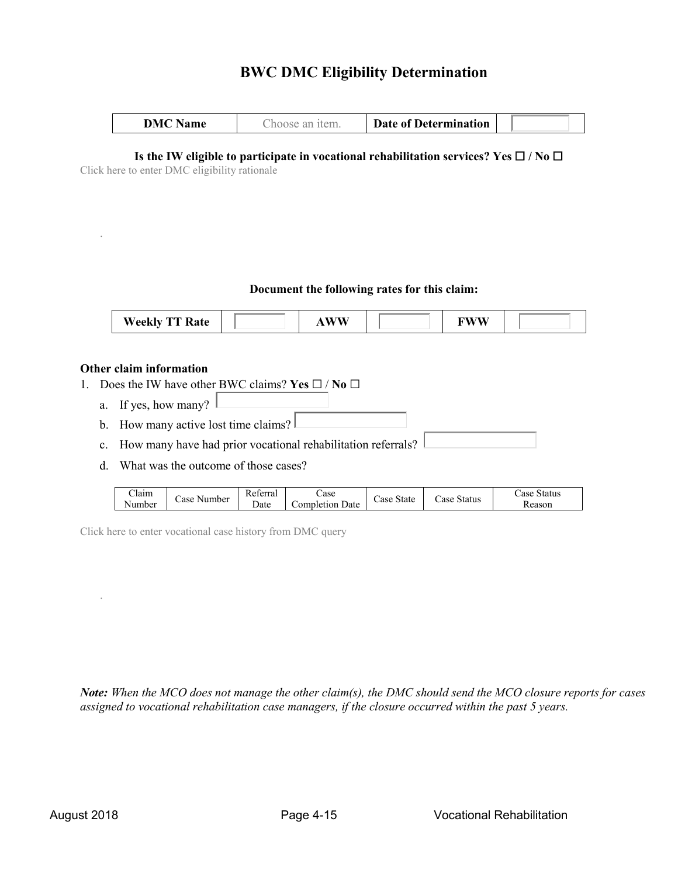# **BWC DMC Eligibility Determination**

| ١M<br>lame | ٦٥<br>10.15 | <b>Date of Determination</b> |  |
|------------|-------------|------------------------------|--|

# **Is the IW eligible to participate in vocational rehabilitation services? Yes** ☐ **/ No** ☐

Click here to enter DMC eligibility rationale

### **Document the following rates for this claim:**

| <b>Weekly</b><br><b>CONTRACTOR</b><br>$\overline{\phantom{a}}$ rate |  | . WW |  | ---- |  |
|---------------------------------------------------------------------|--|------|--|------|--|
|---------------------------------------------------------------------|--|------|--|------|--|

### **Other claim information**

.

- 1. Does the IW have other BWC claims? **Yes** ☐ / **No** ☐
	- a. If yes, how many?
	- b. How many active lost time claims?
	- c. How many have had prior vocational rehabilitation referrals?
	- d. What was the outcome of those cases?

| $\sim$<br>Jaim<br>Case<br>. .<br>Number | keterral<br>Number<br>⊅ate | Case<br>Date<br>ompletion | State<br>Case | Status<br>ase | Status<br>ase -<br>keason |
|-----------------------------------------|----------------------------|---------------------------|---------------|---------------|---------------------------|
|-----------------------------------------|----------------------------|---------------------------|---------------|---------------|---------------------------|

Click here to enter vocational case history from DMC query

*Note: When the MCO does not manage the other claim(s), the DMC should send the MCO closure reports for cases assigned to vocational rehabilitation case managers, if the closure occurred within the past 5 years.*

.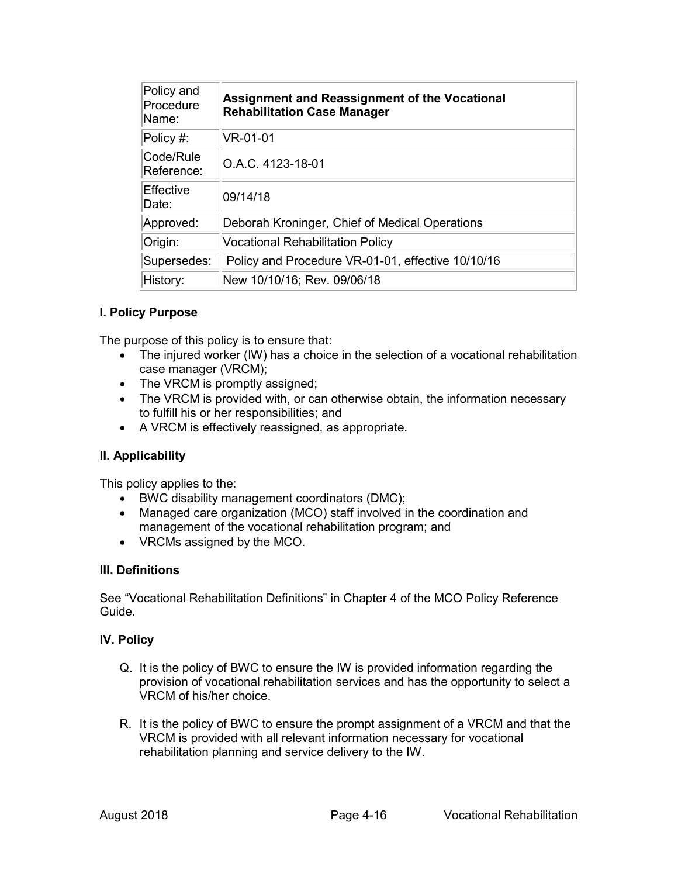| Policy and<br>Procedure<br>Name: | Assignment and Reassignment of the Vocational<br><b>Rehabilitation Case Manager</b> |
|----------------------------------|-------------------------------------------------------------------------------------|
| $\overline{\text{Policy}}$ #:    | VR-01-01                                                                            |
| Code/Rule<br>Reference:          | O.A.C. 4123-18-01                                                                   |
| Effective<br>Date:               | 09/14/18                                                                            |
| Approved:                        | Deborah Kroninger, Chief of Medical Operations                                      |
| Origin:                          | <b>Vocational Rehabilitation Policy</b>                                             |
| Supersedes:                      | Policy and Procedure VR-01-01, effective 10/10/16                                   |
| History:                         | New 10/10/16; Rev. 09/06/18                                                         |

### **I. Policy Purpose**

The purpose of this policy is to ensure that:

- The injured worker (IW) has a choice in the selection of a vocational rehabilitation case manager (VRCM);
- The VRCM is promptly assigned;
- The VRCM is provided with, or can otherwise obtain, the information necessary to fulfill his or her responsibilities; and
- A VRCM is effectively reassigned, as appropriate.

### **II. Applicability**

This policy applies to the:

- BWC disability management coordinators (DMC);
- Managed care organization (MCO) staff involved in the coordination and management of the vocational rehabilitation program; and
- VRCMs assigned by the MCO.

### **III. Definitions**

See "Vocational Rehabilitation Definitions" in Chapter 4 of the MCO Policy Reference Guide.

### **IV. Policy**

- Q. It is the policy of BWC to ensure the IW is provided information regarding the provision of vocational rehabilitation services and has the opportunity to select a VRCM of his/her choice.
- R. It is the policy of BWC to ensure the prompt assignment of a VRCM and that the VRCM is provided with all relevant information necessary for vocational rehabilitation planning and service delivery to the IW.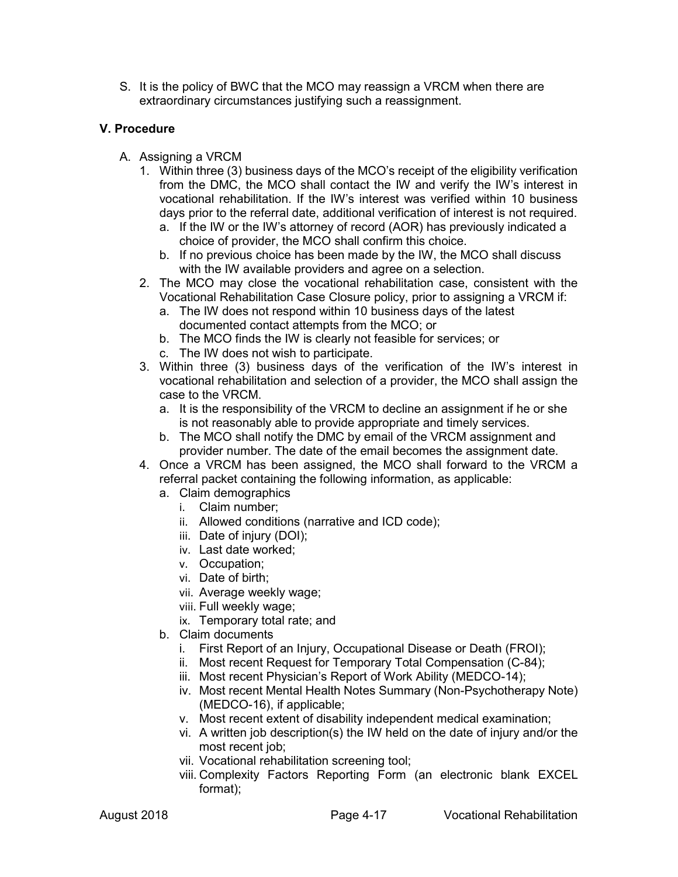S. It is the policy of BWC that the MCO may reassign a VRCM when there are extraordinary circumstances justifying such a reassignment.

## **V. Procedure**

- A. Assigning a VRCM
	- 1. Within three (3) business days of the MCO's receipt of the eligibility verification from the DMC, the MCO shall contact the IW and verify the IW's interest in vocational rehabilitation. If the IW's interest was verified within 10 business days prior to the referral date, additional verification of interest is not required.
		- a. If the IW or the IW's attorney of record (AOR) has previously indicated a choice of provider, the MCO shall confirm this choice.
		- b. If no previous choice has been made by the IW, the MCO shall discuss with the IW available providers and agree on a selection.
	- 2. The MCO may close the vocational rehabilitation case, consistent with the Vocational Rehabilitation Case Closure policy, prior to assigning a VRCM if:
		- a. The IW does not respond within 10 business days of the latest documented contact attempts from the MCO; or
		- b. The MCO finds the IW is clearly not feasible for services; or
		- c. The IW does not wish to participate.
	- 3. Within three (3) business days of the verification of the IW's interest in vocational rehabilitation and selection of a provider, the MCO shall assign the case to the VRCM.
		- a. It is the responsibility of the VRCM to decline an assignment if he or she is not reasonably able to provide appropriate and timely services.
		- b. The MCO shall notify the DMC by email of the VRCM assignment and provider number. The date of the email becomes the assignment date.
	- 4. Once a VRCM has been assigned, the MCO shall forward to the VRCM a referral packet containing the following information, as applicable:
		- a. Claim demographics
			- i. Claim number;
			- ii. Allowed conditions (narrative and ICD code);
			- iii. Date of injury (DOI);
			- iv. Last date worked;
			- v. Occupation;
			- vi. Date of birth;
			- vii. Average weekly wage;
			- viii. Full weekly wage;
			- ix. Temporary total rate; and
		- b. Claim documents
			- i. First Report of an Injury, Occupational Disease or Death (FROI);
			- ii. Most recent Request for Temporary Total Compensation (C-84);
			- iii. Most recent Physician's Report of Work Ability (MEDCO-14);
			- iv. Most recent Mental Health Notes Summary (Non-Psychotherapy Note) (MEDCO-16), if applicable;
			- v. Most recent extent of disability independent medical examination;
			- vi. A written job description(s) the IW held on the date of injury and/or the most recent job;
			- vii. Vocational rehabilitation screening tool;
			- viii. Complexity Factors Reporting Form (an electronic blank EXCEL format);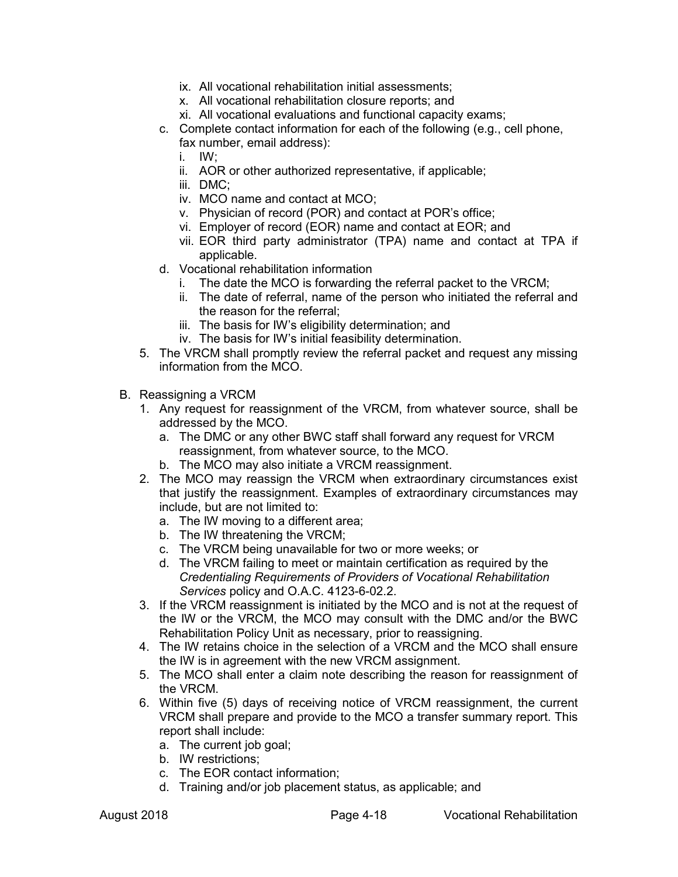- ix. All vocational rehabilitation initial assessments;
- x. All vocational rehabilitation closure reports; and
- xi. All vocational evaluations and functional capacity exams;
- c. Complete contact information for each of the following (e.g., cell phone, fax number, email address):
	- i. IW;
	- ii. AOR or other authorized representative, if applicable;
	- iii. DMC;
	- iv. MCO name and contact at MCO;
	- v. Physician of record (POR) and contact at POR's office;
	- vi. Employer of record (EOR) name and contact at EOR; and
	- vii. EOR third party administrator (TPA) name and contact at TPA if applicable.
- d. Vocational rehabilitation information
	- i. The date the MCO is forwarding the referral packet to the VRCM;
	- ii. The date of referral, name of the person who initiated the referral and the reason for the referral;
	- iii. The basis for IW's eligibility determination; and
	- iv. The basis for IW's initial feasibility determination.
- 5. The VRCM shall promptly review the referral packet and request any missing information from the MCO.
- B. Reassigning a VRCM
	- 1. Any request for reassignment of the VRCM, from whatever source, shall be addressed by the MCO.
		- a. The DMC or any other BWC staff shall forward any request for VRCM reassignment, from whatever source, to the MCO.
		- b. The MCO may also initiate a VRCM reassignment.
	- 2. The MCO may reassign the VRCM when extraordinary circumstances exist that justify the reassignment. Examples of extraordinary circumstances may include, but are not limited to:
		- a. The IW moving to a different area;
		- b. The IW threatening the VRCM;
		- c. The VRCM being unavailable for two or more weeks; or
		- d. The VRCM failing to meet or maintain certification as required by the *Credentialing Requirements of Providers of Vocational Rehabilitation Services* policy and O.A.C. 4123-6-02.2.
	- 3. If the VRCM reassignment is initiated by the MCO and is not at the request of the IW or the VRCM, the MCO may consult with the DMC and/or the BWC Rehabilitation Policy Unit as necessary, prior to reassigning.
	- 4. The IW retains choice in the selection of a VRCM and the MCO shall ensure the IW is in agreement with the new VRCM assignment.
	- 5. The MCO shall enter a claim note describing the reason for reassignment of the VRCM.
	- 6. Within five (5) days of receiving notice of VRCM reassignment, the current VRCM shall prepare and provide to the MCO a transfer summary report. This report shall include:
		- a. The current job goal;
		- b. IW restrictions;
		- c. The EOR contact information;
		- d. Training and/or job placement status, as applicable; and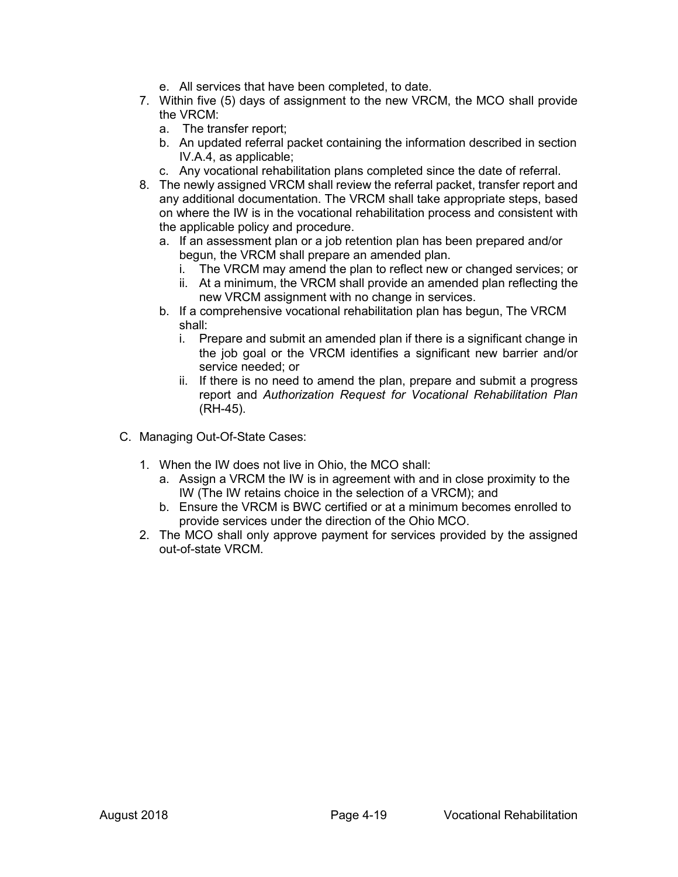- e. All services that have been completed, to date.
- 7. Within five (5) days of assignment to the new VRCM, the MCO shall provide the VRCM:
	- a. The transfer report;
	- b. An updated referral packet containing the information described in section IV.A.4, as applicable;
	- c. Any vocational rehabilitation plans completed since the date of referral.
- 8. The newly assigned VRCM shall review the referral packet, transfer report and any additional documentation. The VRCM shall take appropriate steps, based on where the IW is in the vocational rehabilitation process and consistent with the applicable policy and procedure.
	- a. If an assessment plan or a job retention plan has been prepared and/or begun, the VRCM shall prepare an amended plan.
		- i. The VRCM may amend the plan to reflect new or changed services; or
		- ii. At a minimum, the VRCM shall provide an amended plan reflecting the new VRCM assignment with no change in services.
	- b. If a comprehensive vocational rehabilitation plan has begun, The VRCM shall:
		- i. Prepare and submit an amended plan if there is a significant change in the job goal or the VRCM identifies a significant new barrier and/or service needed; or
		- ii. If there is no need to amend the plan, prepare and submit a progress report and *Authorization Request for Vocational Rehabilitation Plan* (RH-45).
- C. Managing Out-Of-State Cases:
	- 1. When the IW does not live in Ohio, the MCO shall:
		- a. Assign a VRCM the IW is in agreement with and in close proximity to the IW (The IW retains choice in the selection of a VRCM); and
		- b. Ensure the VRCM is BWC certified or at a minimum becomes enrolled to provide services under the direction of the Ohio MCO.
	- 2. The MCO shall only approve payment for services provided by the assigned out-of-state VRCM.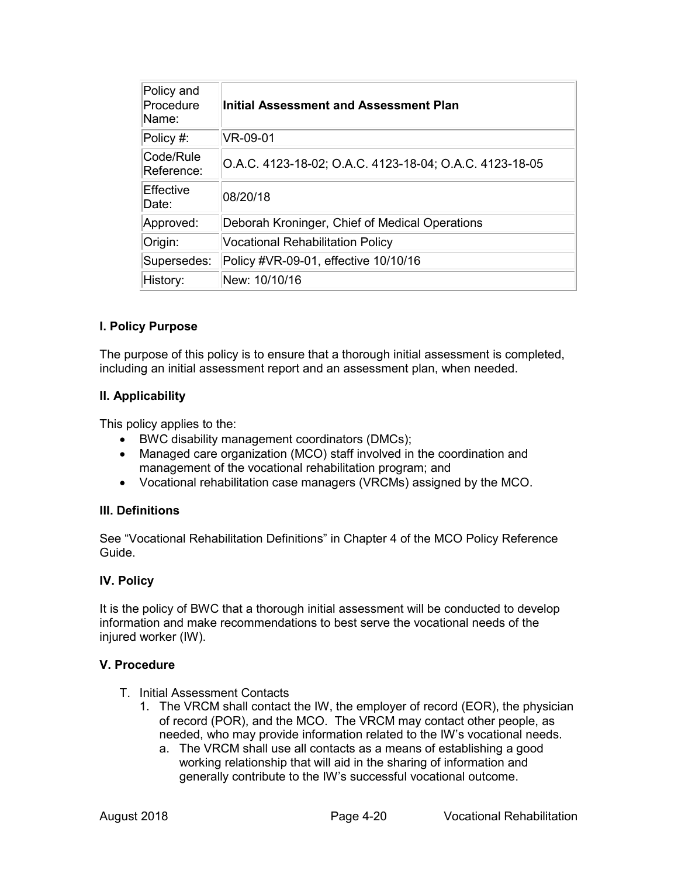| Policy and<br>Procedure<br>Name: | Initial Assessment and Assessment Plan                  |
|----------------------------------|---------------------------------------------------------|
| Policy #:                        | VR-09-01                                                |
| Code/Rule<br>Reference:          | O.A.C. 4123-18-02; O.A.C. 4123-18-04; O.A.C. 4123-18-05 |
| Effective<br>Date:               | 08/20/18                                                |
| Approved:                        | Deborah Kroninger, Chief of Medical Operations          |
| Origin:                          | <b>Vocational Rehabilitation Policy</b>                 |
| Supersedes:                      | Policy #VR-09-01, effective 10/10/16                    |
| History:                         | New: 10/10/16                                           |

## **I. Policy Purpose**

The purpose of this policy is to ensure that a thorough initial assessment is completed, including an initial assessment report and an assessment plan, when needed.

### **II. Applicability**

This policy applies to the:

- BWC disability management coordinators (DMCs);
- Managed care organization (MCO) staff involved in the coordination and management of the vocational rehabilitation program; and
- Vocational rehabilitation case managers (VRCMs) assigned by the MCO.

### **III. Definitions**

See "Vocational Rehabilitation Definitions" in Chapter 4 of the MCO Policy Reference Guide.

### **IV. Policy**

It is the policy of BWC that a thorough initial assessment will be conducted to develop information and make recommendations to best serve the vocational needs of the injured worker (IW).

### **V. Procedure**

- T. Initial Assessment Contacts
	- 1. The VRCM shall contact the IW, the employer of record (EOR), the physician of record (POR), and the MCO. The VRCM may contact other people, as needed, who may provide information related to the IW's vocational needs.
		- a. The VRCM shall use all contacts as a means of establishing a good working relationship that will aid in the sharing of information and generally contribute to the IW's successful vocational outcome.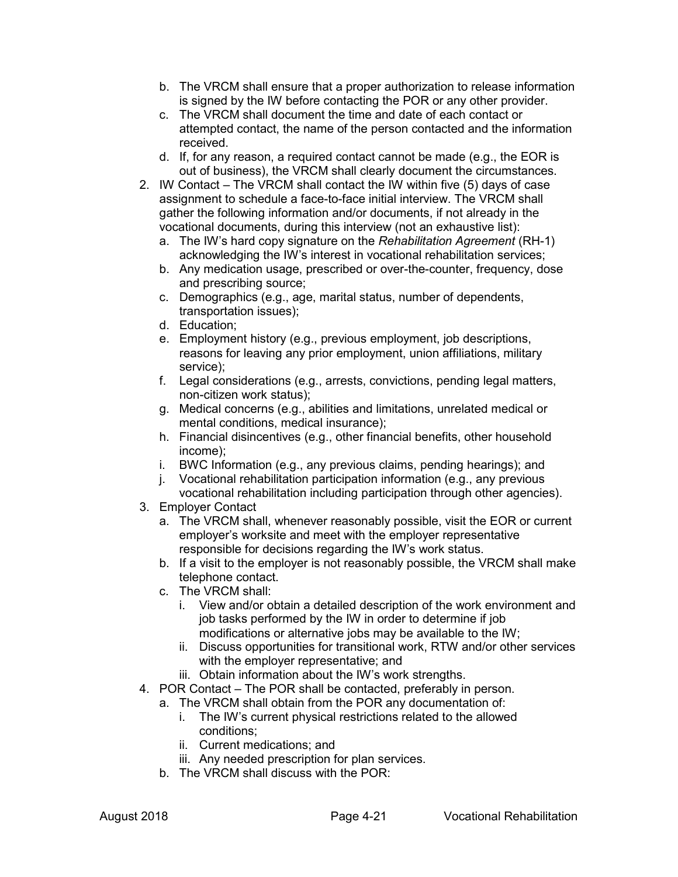- b. The VRCM shall ensure that a proper authorization to release information is signed by the IW before contacting the POR or any other provider.
- c. The VRCM shall document the time and date of each contact or attempted contact, the name of the person contacted and the information received.
- d. If, for any reason, a required contact cannot be made (e.g., the EOR is out of business), the VRCM shall clearly document the circumstances.
- 2. IW Contact The VRCM shall contact the IW within five (5) days of case assignment to schedule a face-to-face initial interview. The VRCM shall gather the following information and/or documents, if not already in the vocational documents, during this interview (not an exhaustive list):
	- a. The IW's hard copy signature on the *Rehabilitation Agreement* (RH-1) acknowledging the IW's interest in vocational rehabilitation services;
	- b. Any medication usage, prescribed or over-the-counter, frequency, dose and prescribing source;
	- c. Demographics (e.g., age, marital status, number of dependents, transportation issues);
	- d. Education;
	- e. Employment history (e.g., previous employment, job descriptions, reasons for leaving any prior employment, union affiliations, military service);
	- f. Legal considerations (e.g., arrests, convictions, pending legal matters, non-citizen work status);
	- g. Medical concerns (e.g., abilities and limitations, unrelated medical or mental conditions, medical insurance);
	- h. Financial disincentives (e.g., other financial benefits, other household income);
	- i. BWC Information (e.g., any previous claims, pending hearings); and
	- j. Vocational rehabilitation participation information (e.g., any previous vocational rehabilitation including participation through other agencies).
- 3. Employer Contact
	- a. The VRCM shall, whenever reasonably possible, visit the EOR or current employer's worksite and meet with the employer representative responsible for decisions regarding the IW's work status.
	- b. If a visit to the employer is not reasonably possible, the VRCM shall make telephone contact.
	- c. The VRCM shall:
		- i. View and/or obtain a detailed description of the work environment and job tasks performed by the IW in order to determine if job modifications or alternative jobs may be available to the IW;
		- ii. Discuss opportunities for transitional work, RTW and/or other services with the employer representative; and
		- iii. Obtain information about the IW's work strengths.
- 4. POR Contact The POR shall be contacted, preferably in person.
	- a. The VRCM shall obtain from the POR any documentation of:
		- i. The IW's current physical restrictions related to the allowed conditions;
		- ii. Current medications; and
		- iii. Any needed prescription for plan services.
	- b. The VRCM shall discuss with the POR: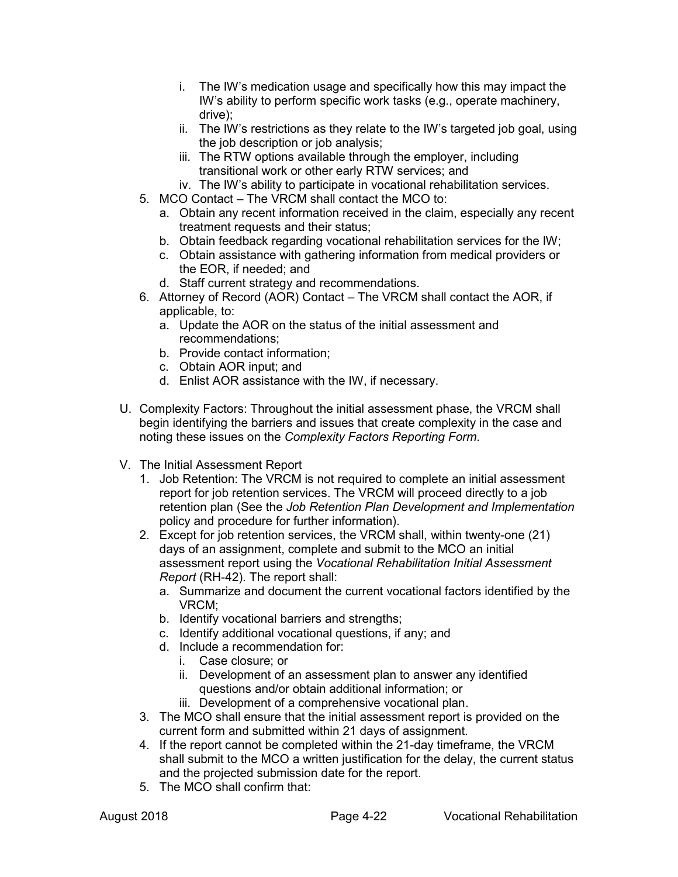- i. The IW's medication usage and specifically how this may impact the IW's ability to perform specific work tasks (e.g., operate machinery, drive);
- ii. The IW's restrictions as they relate to the IW's targeted job goal, using the job description or job analysis:
- iii. The RTW options available through the employer, including transitional work or other early RTW services; and
- iv. The IW's ability to participate in vocational rehabilitation services.
- 5. MCO Contact The VRCM shall contact the MCO to:
	- a. Obtain any recent information received in the claim, especially any recent treatment requests and their status;
	- b. Obtain feedback regarding vocational rehabilitation services for the IW;
	- c. Obtain assistance with gathering information from medical providers or the EOR, if needed; and
	- d. Staff current strategy and recommendations.
- 6. Attorney of Record (AOR) Contact The VRCM shall contact the AOR, if applicable, to:
	- a. Update the AOR on the status of the initial assessment and recommendations;
	- b. Provide contact information;
	- c. Obtain AOR input; and
	- d. Enlist AOR assistance with the IW, if necessary.
- U. Complexity Factors: Throughout the initial assessment phase, the VRCM shall begin identifying the barriers and issues that create complexity in the case and noting these issues on the *Complexity Factors Reporting Form*.
- V. The Initial Assessment Report
	- 1. Job Retention: The VRCM is not required to complete an initial assessment report for job retention services. The VRCM will proceed directly to a job retention plan (See the *Job Retention Plan Development and Implementation* policy and procedure for further information).
	- 2. Except for job retention services, the VRCM shall, within twenty-one (21) days of an assignment, complete and submit to the MCO an initial assessment report using the *Vocational Rehabilitation Initial Assessment Report* (RH-42). The report shall:
		- a. Summarize and document the current vocational factors identified by the VRCM;
		- b. Identify vocational barriers and strengths;
		- c. Identify additional vocational questions, if any; and
		- d. Include a recommendation for:
			- i. Case closure; or
			- ii. Development of an assessment plan to answer any identified questions and/or obtain additional information; or
			- iii. Development of a comprehensive vocational plan.
	- 3. The MCO shall ensure that the initial assessment report is provided on the current form and submitted within 21 days of assignment.
	- 4. If the report cannot be completed within the 21-day timeframe, the VRCM shall submit to the MCO a written justification for the delay, the current status and the projected submission date for the report.
	- 5. The MCO shall confirm that: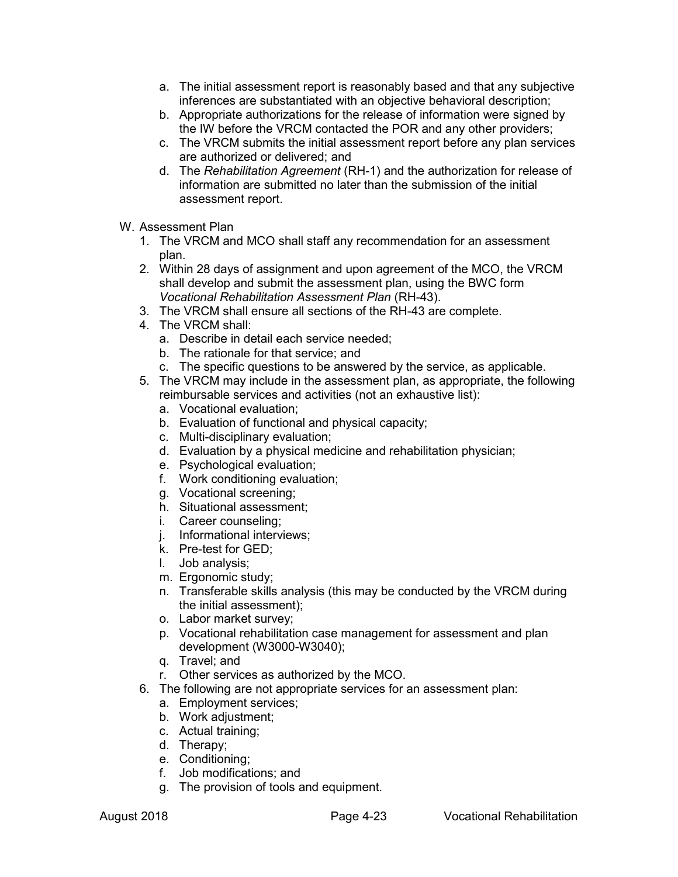- a. The initial assessment report is reasonably based and that any subjective inferences are substantiated with an objective behavioral description;
- b. Appropriate authorizations for the release of information were signed by the IW before the VRCM contacted the POR and any other providers;
- c. The VRCM submits the initial assessment report before any plan services are authorized or delivered; and
- d. The *Rehabilitation Agreement* (RH-1) and the authorization for release of information are submitted no later than the submission of the initial assessment report.
- W. Assessment Plan
	- 1. The VRCM and MCO shall staff any recommendation for an assessment plan.
	- 2. Within 28 days of assignment and upon agreement of the MCO, the VRCM shall develop and submit the assessment plan, using the BWC form *Vocational Rehabilitation Assessment Plan* (RH-43).
	- 3. The VRCM shall ensure all sections of the RH-43 are complete.
	- 4. The VRCM shall:
		- a. Describe in detail each service needed;
		- b. The rationale for that service; and
		- c. The specific questions to be answered by the service, as applicable.
	- 5. The VRCM may include in the assessment plan, as appropriate, the following reimbursable services and activities (not an exhaustive list):
		- a. Vocational evaluation;
		- b. Evaluation of functional and physical capacity;
		- c. Multi-disciplinary evaluation;
		- d. Evaluation by a physical medicine and rehabilitation physician;
		- e. Psychological evaluation;
		- f. Work conditioning evaluation;
		- g. Vocational screening;
		- h. Situational assessment;
		- i. Career counseling;
		- j. Informational interviews;
		- k. Pre-test for GED;
		- l. Job analysis;
		- m. Ergonomic study;
		- n. Transferable skills analysis (this may be conducted by the VRCM during the initial assessment);
		- o. Labor market survey;
		- p. Vocational rehabilitation case management for assessment and plan development (W3000-W3040);
		- q. Travel; and
		- r. Other services as authorized by the MCO.
	- 6. The following are not appropriate services for an assessment plan:
		- a. Employment services;
		- b. Work adjustment;
		- c. Actual training;
		- d. Therapy;
		- e. Conditioning;
		- f. Job modifications; and
		- g. The provision of tools and equipment.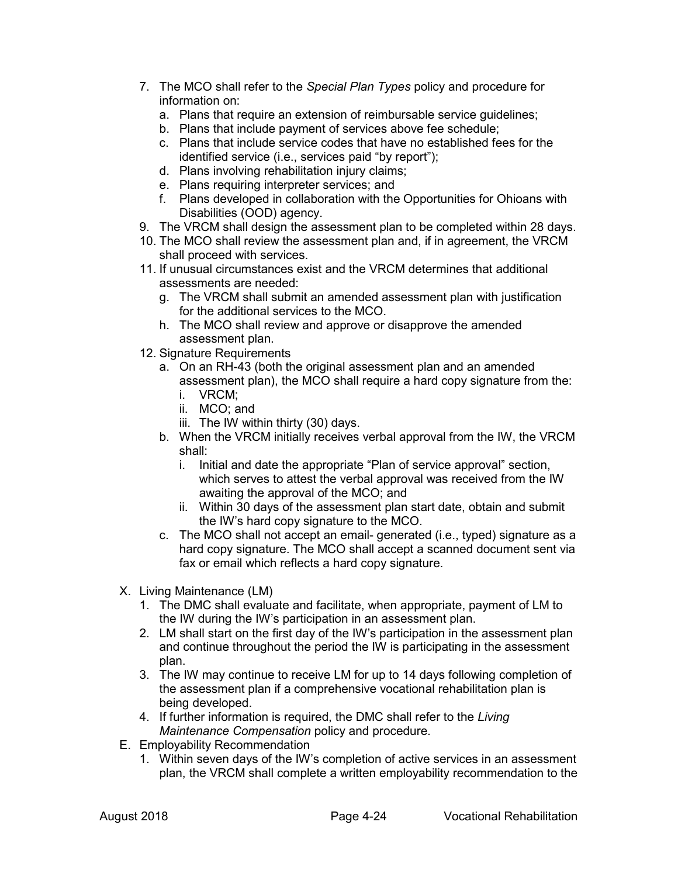- 7. The MCO shall refer to the *Special Plan Types* policy and procedure for information on:
	- a. Plans that require an extension of reimbursable service guidelines;
	- b. Plans that include payment of services above fee schedule;
	- c. Plans that include service codes that have no established fees for the identified service (i.e., services paid "by report");
	- d. Plans involving rehabilitation injury claims;
	- e. Plans requiring interpreter services; and
	- f. Plans developed in collaboration with the Opportunities for Ohioans with Disabilities (OOD) agency.
- 9. The VRCM shall design the assessment plan to be completed within 28 days.
- 10. The MCO shall review the assessment plan and, if in agreement, the VRCM shall proceed with services.
- 11. If unusual circumstances exist and the VRCM determines that additional assessments are needed:
	- g. The VRCM shall submit an amended assessment plan with justification for the additional services to the MCO.
	- h. The MCO shall review and approve or disapprove the amended assessment plan.
- 12. Signature Requirements
	- a. On an RH-43 (both the original assessment plan and an amended assessment plan), the MCO shall require a hard copy signature from the:
		- i. VRCM;
		- ii. MCO; and
		- iii. The IW within thirty (30) days.
	- b. When the VRCM initially receives verbal approval from the IW, the VRCM shall:
		- i. Initial and date the appropriate "Plan of service approval" section, which serves to attest the verbal approval was received from the IW awaiting the approval of the MCO; and
		- ii. Within 30 days of the assessment plan start date, obtain and submit the IW's hard copy signature to the MCO.
	- c. The MCO shall not accept an email- generated (i.e., typed) signature as a hard copy signature. The MCO shall accept a scanned document sent via fax or email which reflects a hard copy signature.
- X. Living Maintenance (LM)
	- 1. The DMC shall evaluate and facilitate, when appropriate, payment of LM to the IW during the IW's participation in an assessment plan.
	- 2. LM shall start on the first day of the IW's participation in the assessment plan and continue throughout the period the IW is participating in the assessment plan.
	- 3. The IW may continue to receive LM for up to 14 days following completion of the assessment plan if a comprehensive vocational rehabilitation plan is being developed.
	- 4. If further information is required, the DMC shall refer to the *Living Maintenance Compensation* policy and procedure.
- E. Employability Recommendation
	- 1. Within seven days of the IW's completion of active services in an assessment plan, the VRCM shall complete a written employability recommendation to the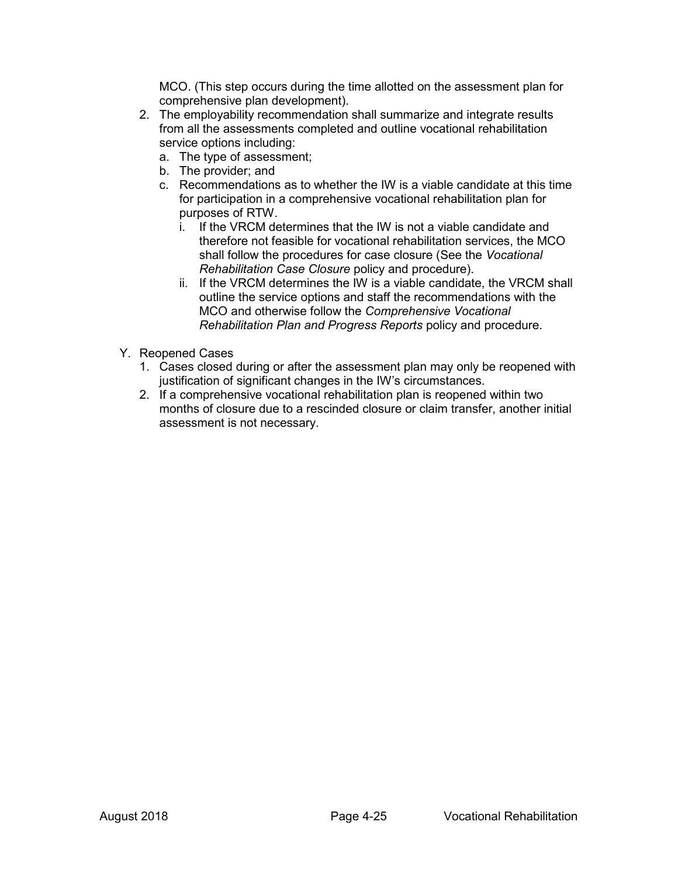MCO. (This step occurs during the time allotted on the assessment plan for comprehensive plan development).

- 2. The employability recommendation shall summarize and integrate results from all the assessments completed and outline vocational rehabilitation service options including:
	- a. The type of assessment;
	- b. The provider; and
	- c. Recommendations as to whether the IW is a viable candidate at this time for participation in a comprehensive vocational rehabilitation plan for purposes of RTW.
		- i. If the VRCM determines that the IW is not a viable candidate and therefore not feasible for vocational rehabilitation services, the MCO shall follow the procedures for case closure (See the *Vocational Rehabilitation Case Closure* policy and procedure).
		- ii. If the VRCM determines the IW is a viable candidate, the VRCM shall outline the service options and staff the recommendations with the MCO and otherwise follow the *Comprehensive Vocational Rehabilitation Plan and Progress Reports* policy and procedure.
- Y. Reopened Cases
	- 1. Cases closed during or after the assessment plan may only be reopened with justification of significant changes in the IW's circumstances.
	- 2. If a comprehensive vocational rehabilitation plan is reopened within two months of closure due to a rescinded closure or claim transfer, another initial assessment is not necessary.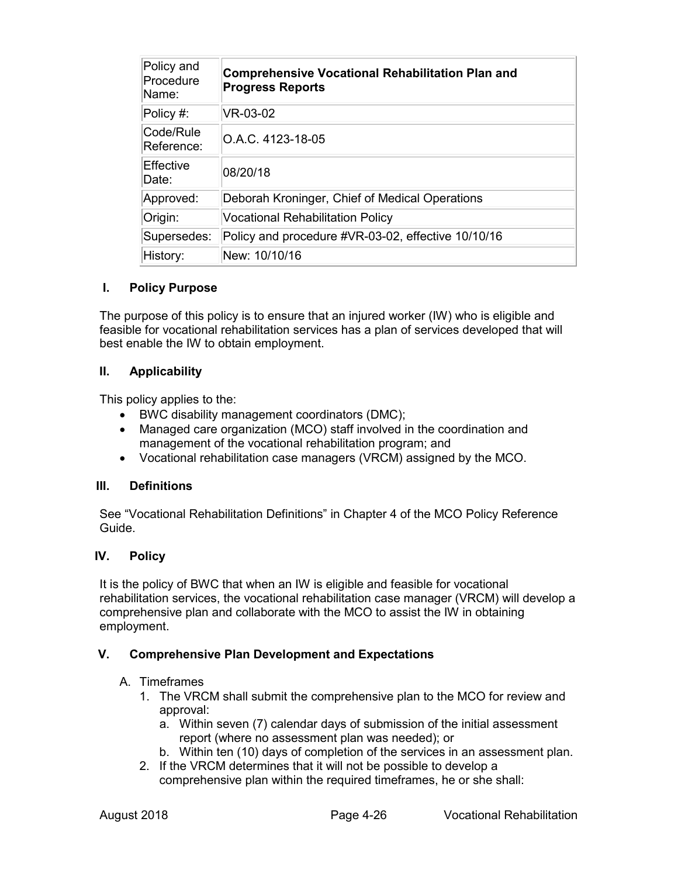| Policy and<br>Procedure<br>Name: | <b>Comprehensive Vocational Rehabilitation Plan and</b><br><b>Progress Reports</b> |
|----------------------------------|------------------------------------------------------------------------------------|
| Policy #:                        | VR-03-02                                                                           |
| Code/Rule<br>Reference:          | O.A.C. 4123-18-05                                                                  |
| Effective<br>Date:               | 08/20/18                                                                           |
| Approved:                        | Deborah Kroninger, Chief of Medical Operations                                     |
| Origin:                          | <b>Vocational Rehabilitation Policy</b>                                            |
| Supersedes:                      | Policy and procedure #VR-03-02, effective 10/10/16                                 |
| History:                         | New: 10/10/16                                                                      |

## **I. Policy Purpose**

The purpose of this policy is to ensure that an injured worker (IW) who is eligible and feasible for vocational rehabilitation services has a plan of services developed that will best enable the IW to obtain employment.

## **II. Applicability**

This policy applies to the:

- BWC disability management coordinators (DMC);
- Managed care organization (MCO) staff involved in the coordination and management of the vocational rehabilitation program; and
- Vocational rehabilitation case managers (VRCM) assigned by the MCO.

### **III. Definitions**

See "Vocational Rehabilitation Definitions" in Chapter 4 of the MCO Policy Reference Guide.

### **IV. Policy**

It is the policy of BWC that when an IW is eligible and feasible for vocational rehabilitation services, the vocational rehabilitation case manager (VRCM) will develop a comprehensive plan and collaborate with the MCO to assist the IW in obtaining employment.

### **V. Comprehensive Plan Development and Expectations**

### A. Timeframes

- 1. The VRCM shall submit the comprehensive plan to the MCO for review and approval:
	- a. Within seven (7) calendar days of submission of the initial assessment report (where no assessment plan was needed); or
	- b. Within ten (10) days of completion of the services in an assessment plan.
- 2. If the VRCM determines that it will not be possible to develop a comprehensive plan within the required timeframes, he or she shall: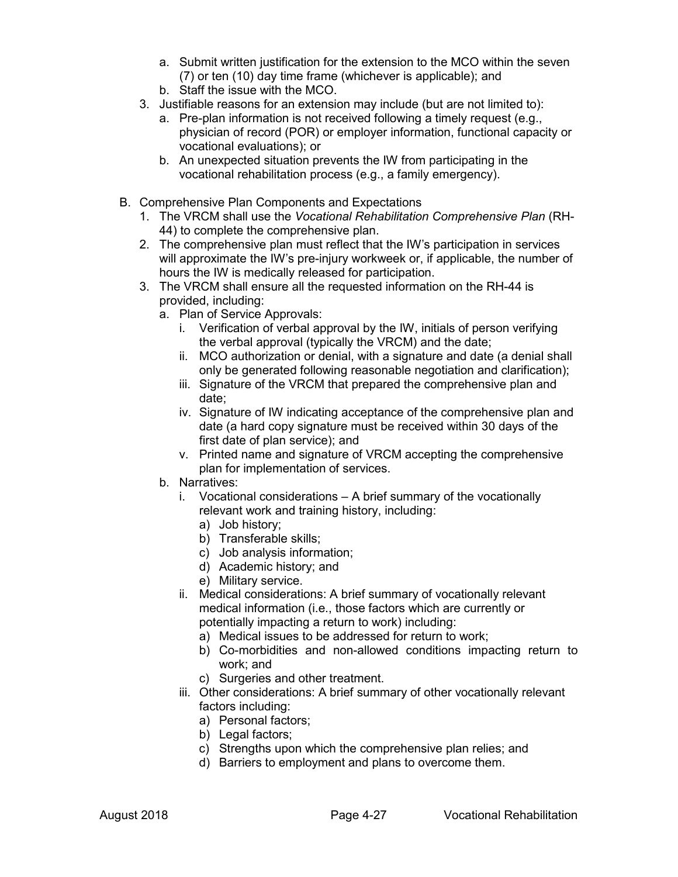- a. Submit written justification for the extension to the MCO within the seven (7) or ten (10) day time frame (whichever is applicable); and
- b. Staff the issue with the MCO.
- 3. Justifiable reasons for an extension may include (but are not limited to):
	- a. Pre-plan information is not received following a timely request (e.g., physician of record (POR) or employer information, functional capacity or vocational evaluations); or
	- b. An unexpected situation prevents the IW from participating in the vocational rehabilitation process (e.g., a family emergency).
- B. Comprehensive Plan Components and Expectations
	- 1. The VRCM shall use the *Vocational Rehabilitation Comprehensive Plan* (RH-44) to complete the comprehensive plan.
	- 2. The comprehensive plan must reflect that the IW's participation in services will approximate the IW's pre-injury workweek or, if applicable, the number of hours the IW is medically released for participation.
	- 3. The VRCM shall ensure all the requested information on the RH-44 is provided, including:
		- a. Plan of Service Approvals:
			- i. Verification of verbal approval by the IW, initials of person verifying the verbal approval (typically the VRCM) and the date;
			- ii. MCO authorization or denial, with a signature and date (a denial shall only be generated following reasonable negotiation and clarification);
			- iii. Signature of the VRCM that prepared the comprehensive plan and date;
			- iv. Signature of IW indicating acceptance of the comprehensive plan and date (a hard copy signature must be received within 30 days of the first date of plan service); and
			- v. Printed name and signature of VRCM accepting the comprehensive plan for implementation of services.
		- b. Narratives:
			- i. Vocational considerations A brief summary of the vocationally relevant work and training history, including:
				- a) Job history;
				- b) Transferable skills;
				- c) Job analysis information;
				- d) Academic history; and
				- e) Military service.
			- ii. Medical considerations: A brief summary of vocationally relevant medical information (i.e., those factors which are currently or potentially impacting a return to work) including:
				- a) Medical issues to be addressed for return to work;
				- b) Co-morbidities and non-allowed conditions impacting return to work; and
				- c) Surgeries and other treatment.
			- iii. Other considerations: A brief summary of other vocationally relevant factors including:
				- a) Personal factors;
				- b) Legal factors;
				- c) Strengths upon which the comprehensive plan relies; and
				- d) Barriers to employment and plans to overcome them.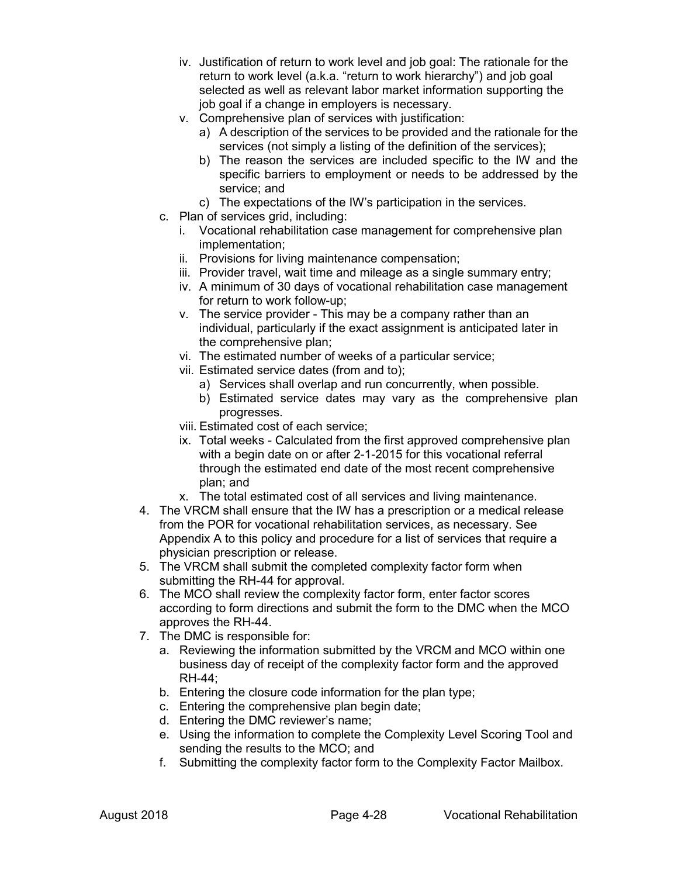- iv. Justification of return to work level and job goal: The rationale for the return to work level (a.k.a. "return to work hierarchy") and job goal selected as well as relevant labor market information supporting the job goal if a change in employers is necessary.
- v. Comprehensive plan of services with justification:
	- a) A description of the services to be provided and the rationale for the services (not simply a listing of the definition of the services);
	- b) The reason the services are included specific to the IW and the specific barriers to employment or needs to be addressed by the service; and
	- c) The expectations of the IW's participation in the services.
- c. Plan of services grid, including:
	- i. Vocational rehabilitation case management for comprehensive plan implementation;
	- ii. Provisions for living maintenance compensation;
	- iii. Provider travel, wait time and mileage as a single summary entry;
	- iv. A minimum of 30 days of vocational rehabilitation case management for return to work follow-up;
	- v. The service provider This may be a company rather than an individual, particularly if the exact assignment is anticipated later in the comprehensive plan;
	- vi. The estimated number of weeks of a particular service;
	- vii. Estimated service dates (from and to);
		- a) Services shall overlap and run concurrently, when possible.
		- b) Estimated service dates may vary as the comprehensive plan progresses.
	- viii. Estimated cost of each service;
	- ix. Total weeks Calculated from the first approved comprehensive plan with a begin date on or after 2-1-2015 for this vocational referral through the estimated end date of the most recent comprehensive plan; and
	- x. The total estimated cost of all services and living maintenance.
- 4. The VRCM shall ensure that the IW has a prescription or a medical release from the POR for vocational rehabilitation services, as necessary. See Appendix A to this policy and procedure for a list of services that require a physician prescription or release.
- 5. The VRCM shall submit the completed complexity factor form when submitting the RH-44 for approval.
- 6. The MCO shall review the complexity factor form, enter factor scores according to form directions and submit the form to the DMC when the MCO approves the RH-44.
- 7. The DMC is responsible for:
	- a. Reviewing the information submitted by the VRCM and MCO within one business day of receipt of the complexity factor form and the approved RH-44;
	- b. Entering the closure code information for the plan type;
	- c. Entering the comprehensive plan begin date;
	- d. Entering the DMC reviewer's name;
	- e. Using the information to complete the Complexity Level Scoring Tool and sending the results to the MCO; and
	- f. Submitting the complexity factor form to the Complexity Factor Mailbox.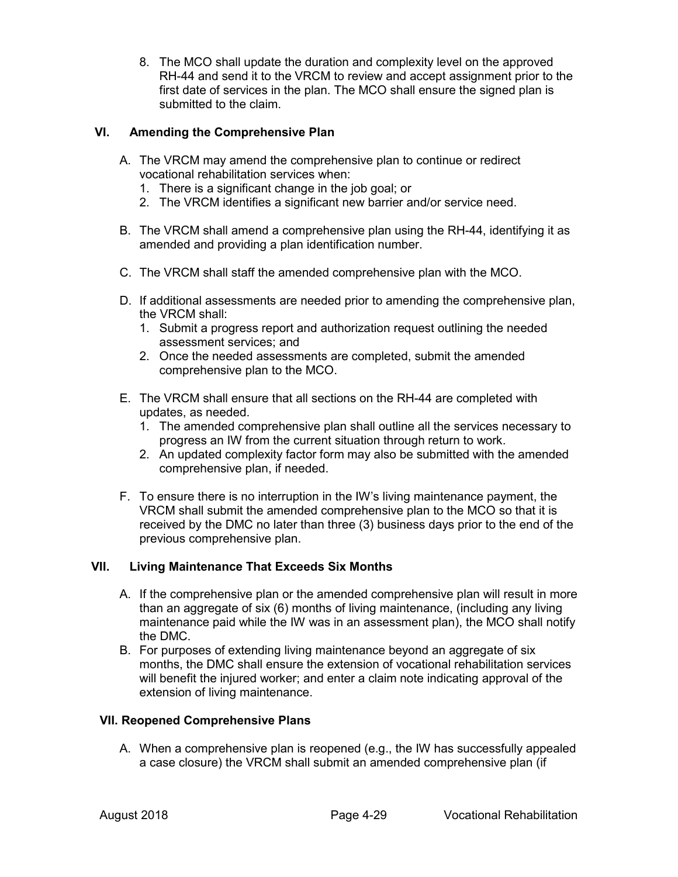8. The MCO shall update the duration and complexity level on the approved RH-44 and send it to the VRCM to review and accept assignment prior to the first date of services in the plan. The MCO shall ensure the signed plan is submitted to the claim.

## **VI. Amending the Comprehensive Plan**

- A. The VRCM may amend the comprehensive plan to continue or redirect vocational rehabilitation services when:
	- 1. There is a significant change in the job goal; or
	- 2. The VRCM identifies a significant new barrier and/or service need.
- B. The VRCM shall amend a comprehensive plan using the RH-44, identifying it as amended and providing a plan identification number.
- C. The VRCM shall staff the amended comprehensive plan with the MCO.
- D. If additional assessments are needed prior to amending the comprehensive plan, the VRCM shall:
	- 1. Submit a progress report and authorization request outlining the needed assessment services; and
	- 2. Once the needed assessments are completed, submit the amended comprehensive plan to the MCO.
- E. The VRCM shall ensure that all sections on the RH-44 are completed with updates, as needed.
	- 1. The amended comprehensive plan shall outline all the services necessary to progress an IW from the current situation through return to work.
	- 2. An updated complexity factor form may also be submitted with the amended comprehensive plan, if needed.
- F. To ensure there is no interruption in the IW's living maintenance payment, the VRCM shall submit the amended comprehensive plan to the MCO so that it is received by the DMC no later than three (3) business days prior to the end of the previous comprehensive plan.

## **VII. Living Maintenance That Exceeds Six Months**

- A. If the comprehensive plan or the amended comprehensive plan will result in more than an aggregate of six (6) months of living maintenance, (including any living maintenance paid while the IW was in an assessment plan), the MCO shall notify the DMC.
- B. For purposes of extending living maintenance beyond an aggregate of six months, the DMC shall ensure the extension of vocational rehabilitation services will benefit the injured worker; and enter a claim note indicating approval of the extension of living maintenance.

### **VII. Reopened Comprehensive Plans**

A. When a comprehensive plan is reopened (e.g., the IW has successfully appealed a case closure) the VRCM shall submit an amended comprehensive plan (if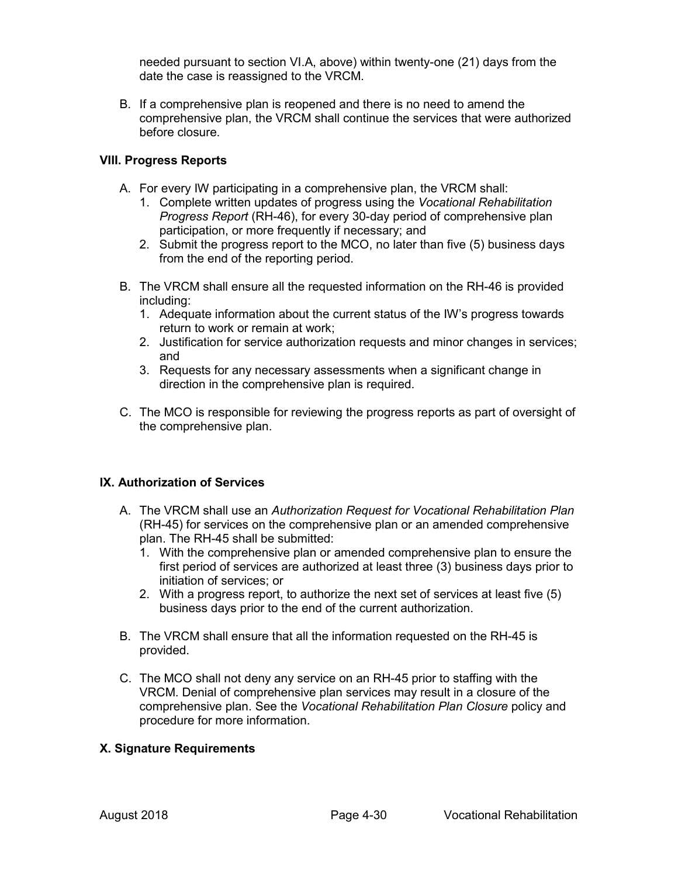needed pursuant to section VI.A, above) within twenty-one (21) days from the date the case is reassigned to the VRCM.

B. If a comprehensive plan is reopened and there is no need to amend the comprehensive plan, the VRCM shall continue the services that were authorized before closure.

### **VIII. Progress Reports**

- A. For every IW participating in a comprehensive plan, the VRCM shall:
	- 1. Complete written updates of progress using the *Vocational Rehabilitation Progress Report* (RH-46), for every 30-day period of comprehensive plan participation, or more frequently if necessary; and
	- 2. Submit the progress report to the MCO, no later than five (5) business days from the end of the reporting period.
- B. The VRCM shall ensure all the requested information on the RH-46 is provided including:
	- 1. Adequate information about the current status of the IW's progress towards return to work or remain at work;
	- 2. Justification for service authorization requests and minor changes in services; and
	- 3. Requests for any necessary assessments when a significant change in direction in the comprehensive plan is required.
- C. The MCO is responsible for reviewing the progress reports as part of oversight of the comprehensive plan.

### **IX. Authorization of Services**

- A. The VRCM shall use an *Authorization Request for Vocational Rehabilitation Plan* (RH-45) for services on the comprehensive plan or an amended comprehensive plan. The RH-45 shall be submitted:
	- 1. With the comprehensive plan or amended comprehensive plan to ensure the first period of services are authorized at least three (3) business days prior to initiation of services; or
	- 2. With a progress report, to authorize the next set of services at least five (5) business days prior to the end of the current authorization.
- B. The VRCM shall ensure that all the information requested on the RH-45 is provided.
- C. The MCO shall not deny any service on an RH-45 prior to staffing with the VRCM. Denial of comprehensive plan services may result in a closure of the comprehensive plan. See the *Vocational Rehabilitation Plan Closure* policy and procedure for more information.

### **X. Signature Requirements**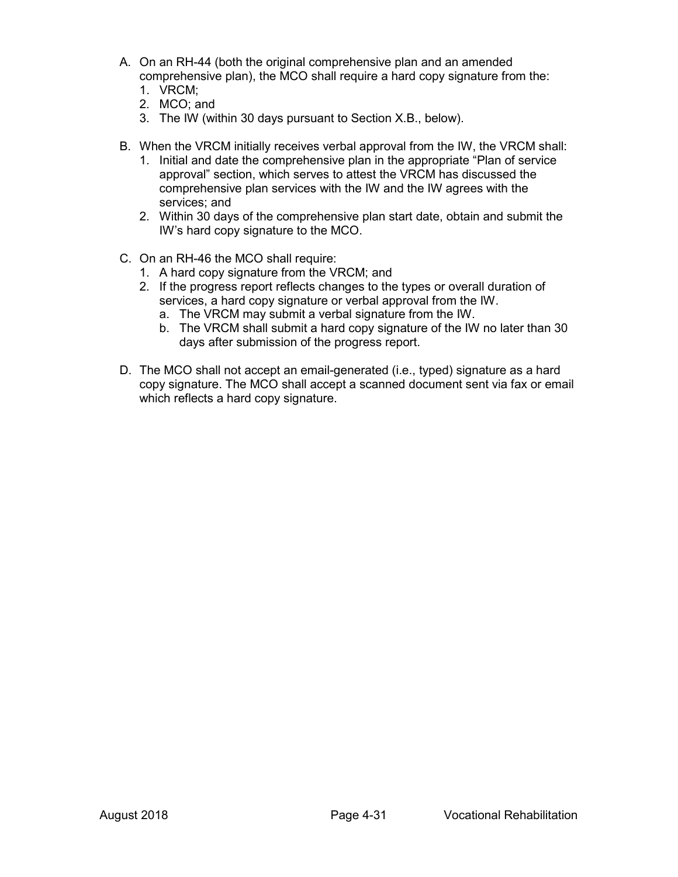- A. On an RH-44 (both the original comprehensive plan and an amended comprehensive plan), the MCO shall require a hard copy signature from the:
	- 1. VRCM;
	- 2. MCO; and
	- 3. The IW (within 30 days pursuant to Section X.B., below).
- B. When the VRCM initially receives verbal approval from the IW, the VRCM shall:
	- 1. Initial and date the comprehensive plan in the appropriate "Plan of service approval" section, which serves to attest the VRCM has discussed the comprehensive plan services with the IW and the IW agrees with the services; and
	- 2. Within 30 days of the comprehensive plan start date, obtain and submit the IW's hard copy signature to the MCO.
- C. On an RH-46 the MCO shall require:
	- 1. A hard copy signature from the VRCM; and
	- 2. If the progress report reflects changes to the types or overall duration of services, a hard copy signature or verbal approval from the IW.
		- a. The VRCM may submit a verbal signature from the IW.
		- b. The VRCM shall submit a hard copy signature of the IW no later than 30 days after submission of the progress report.
- D. The MCO shall not accept an email-generated (i.e., typed) signature as a hard copy signature. The MCO shall accept a scanned document sent via fax or email which reflects a hard copy signature.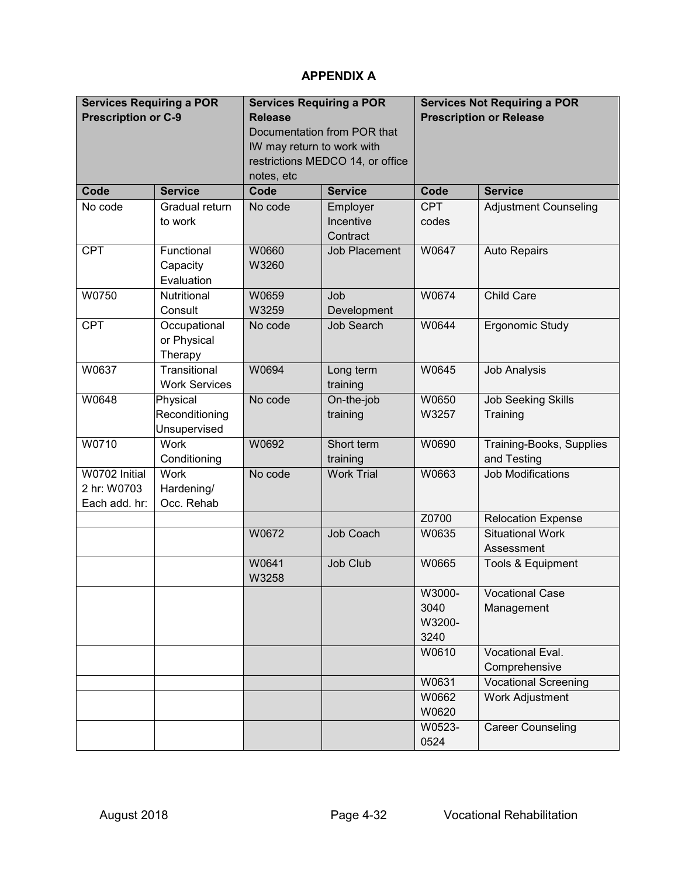# **APPENDIX A**

| <b>Services Requiring a POR</b> |                      | <b>Services Requiring a POR</b> |                                  | <b>Services Not Requiring a POR</b> |                              |  |
|---------------------------------|----------------------|---------------------------------|----------------------------------|-------------------------------------|------------------------------|--|
| <b>Prescription or C-9</b>      |                      | <b>Release</b>                  |                                  | <b>Prescription or Release</b>      |                              |  |
|                                 |                      | Documentation from POR that     |                                  |                                     |                              |  |
|                                 |                      | IW may return to work with      |                                  |                                     |                              |  |
|                                 |                      |                                 | restrictions MEDCO 14, or office |                                     |                              |  |
|                                 |                      | notes, etc                      |                                  |                                     |                              |  |
| Code                            | <b>Service</b>       | Code                            | <b>Service</b>                   | Code                                | <b>Service</b>               |  |
| No code                         | Gradual return       | No code                         | Employer                         | <b>CPT</b>                          | <b>Adjustment Counseling</b> |  |
|                                 | to work              |                                 | Incentive                        | codes                               |                              |  |
|                                 |                      |                                 | Contract                         |                                     |                              |  |
| <b>CPT</b>                      | Functional           | W0660                           | <b>Job Placement</b>             | W0647                               | <b>Auto Repairs</b>          |  |
|                                 | Capacity             | W3260                           |                                  |                                     |                              |  |
|                                 | Evaluation           |                                 |                                  |                                     |                              |  |
| W0750                           | Nutritional          | W0659                           | Job                              | W0674                               | <b>Child Care</b>            |  |
|                                 | Consult              | W3259                           | Development                      |                                     |                              |  |
| <b>CPT</b>                      | Occupational         | No code                         | <b>Job Search</b>                | W0644                               | Ergonomic Study              |  |
|                                 | or Physical          |                                 |                                  |                                     |                              |  |
|                                 | Therapy              |                                 |                                  |                                     |                              |  |
| W0637                           | Transitional         | W0694                           | Long term                        | W0645                               | <b>Job Analysis</b>          |  |
|                                 | <b>Work Services</b> |                                 | training                         |                                     |                              |  |
| W0648                           | Physical             | No code                         | On-the-job                       | W0650                               | <b>Job Seeking Skills</b>    |  |
|                                 | Reconditioning       |                                 | training                         | W3257                               | Training                     |  |
|                                 | Unsupervised         |                                 |                                  |                                     |                              |  |
| W0710                           | Work                 | W0692                           | Short term                       | W0690                               | Training-Books, Supplies     |  |
|                                 | Conditioning         |                                 | training                         |                                     | and Testing                  |  |
| W0702 Initial                   | Work                 | No code                         | <b>Work Trial</b>                | W0663                               | <b>Job Modifications</b>     |  |
| 2 hr: W0703                     | Hardening/           |                                 |                                  |                                     |                              |  |
| Each add. hr:                   | Occ. Rehab           |                                 |                                  |                                     |                              |  |
|                                 |                      |                                 |                                  | Z0700                               | <b>Relocation Expense</b>    |  |
|                                 |                      | W0672                           | Job Coach                        | W0635                               | <b>Situational Work</b>      |  |
|                                 |                      |                                 |                                  |                                     | Assessment                   |  |
|                                 |                      | W0641                           | Job Club                         | W0665                               | Tools & Equipment            |  |
|                                 |                      | W3258                           |                                  |                                     |                              |  |
|                                 |                      |                                 |                                  | W3000-                              | Vocational Case              |  |
|                                 |                      |                                 |                                  | 3040                                | Management                   |  |
|                                 |                      |                                 |                                  | W3200-                              |                              |  |
|                                 |                      |                                 |                                  | 3240                                |                              |  |
|                                 |                      |                                 |                                  | W0610                               | Vocational Eval.             |  |
|                                 |                      |                                 |                                  |                                     | Comprehensive                |  |
|                                 |                      |                                 |                                  | W0631                               | <b>Vocational Screening</b>  |  |
|                                 |                      |                                 |                                  | W0662                               | <b>Work Adjustment</b>       |  |
|                                 |                      |                                 |                                  | W0620                               |                              |  |
|                                 |                      |                                 |                                  | W0523-                              | <b>Career Counseling</b>     |  |
|                                 |                      |                                 |                                  | 0524                                |                              |  |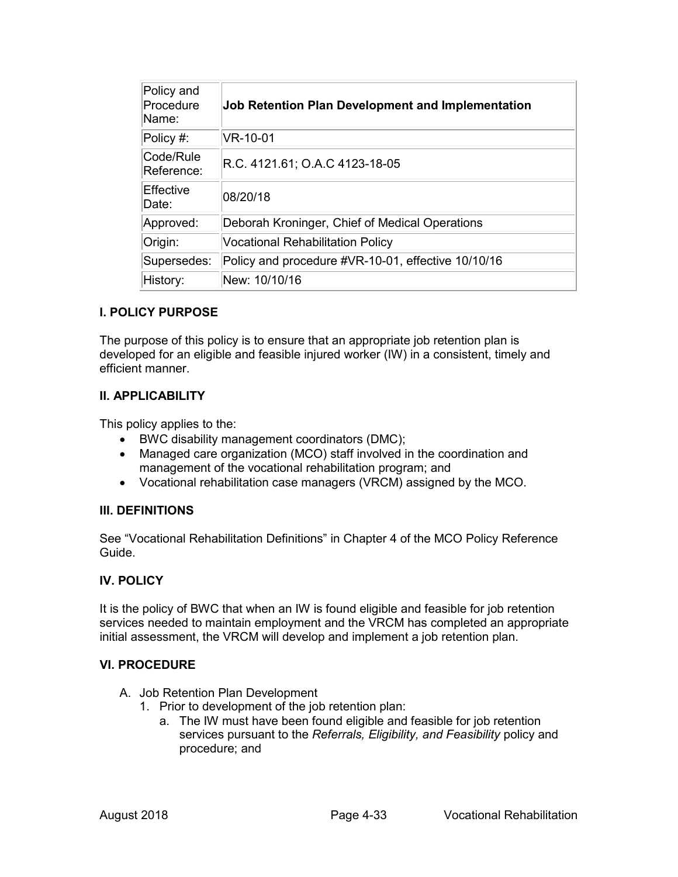| Policy and<br>Procedure<br>Name: | Job Retention Plan Development and Implementation  |
|----------------------------------|----------------------------------------------------|
| $\overline{\text{Policy}}$ #:    | VR-10-01                                           |
| Code/Rule<br>Reference:          | R.C. 4121.61; O.A.C 4123-18-05                     |
| Effective<br>Date:               | 08/20/18                                           |
| Approved:                        | Deborah Kroninger, Chief of Medical Operations     |
| Origin:                          | <b>Vocational Rehabilitation Policy</b>            |
| Supersedes:                      | Policy and procedure #VR-10-01, effective 10/10/16 |
| History:                         | New: 10/10/16                                      |

The purpose of this policy is to ensure that an appropriate job retention plan is developed for an eligible and feasible injured worker (IW) in a consistent, timely and efficient manner.

### **II. APPLICABILITY**

This policy applies to the:

- BWC disability management coordinators (DMC);
- Managed care organization (MCO) staff involved in the coordination and management of the vocational rehabilitation program; and
- Vocational rehabilitation case managers (VRCM) assigned by the MCO.

#### **III. DEFINITIONS**

See "Vocational Rehabilitation Definitions" in Chapter 4 of the MCO Policy Reference Guide.

### **IV. POLICY**

It is the policy of BWC that when an IW is found eligible and feasible for job retention services needed to maintain employment and the VRCM has completed an appropriate initial assessment, the VRCM will develop and implement a job retention plan.

#### **VI. PROCEDURE**

- A. Job Retention Plan Development
	- 1. Prior to development of the job retention plan:
		- a. The IW must have been found eligible and feasible for job retention services pursuant to the *Referrals, Eligibility, and Feasibility* policy and procedure; and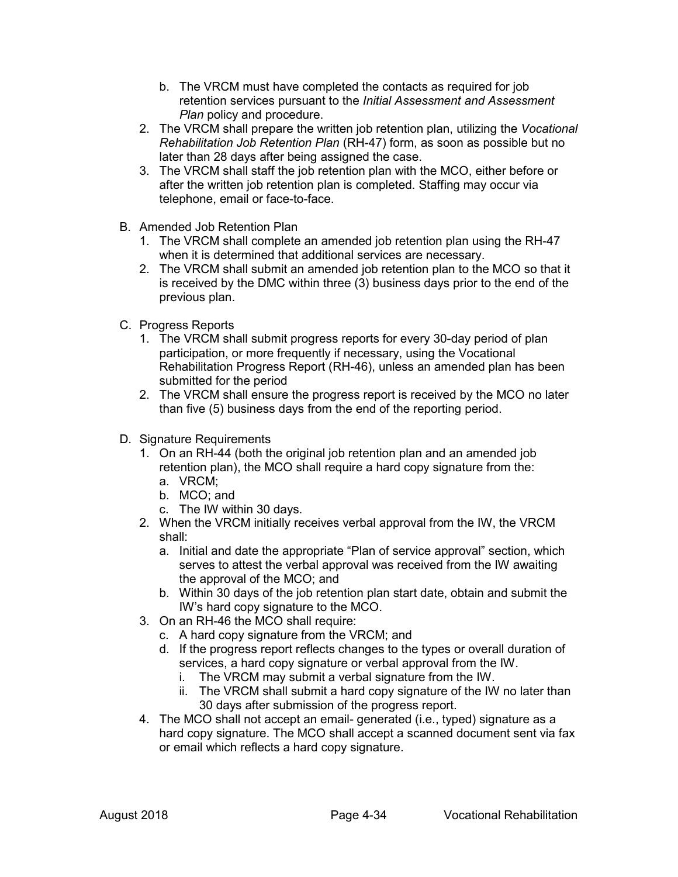- b. The VRCM must have completed the contacts as required for job retention services pursuant to the *Initial Assessment and Assessment Plan policy and procedure.*
- 2. The VRCM shall prepare the written job retention plan, utilizing the *Vocational Rehabilitation Job Retention Plan* (RH-47) form, as soon as possible but no later than 28 days after being assigned the case.
- 3. The VRCM shall staff the job retention plan with the MCO, either before or after the written job retention plan is completed. Staffing may occur via telephone, email or face-to-face.
- B. Amended Job Retention Plan
	- 1. The VRCM shall complete an amended job retention plan using the RH-47 when it is determined that additional services are necessary.
	- 2. The VRCM shall submit an amended job retention plan to the MCO so that it is received by the DMC within three (3) business days prior to the end of the previous plan.
- C. Progress Reports
	- 1. The VRCM shall submit progress reports for every 30-day period of plan participation, or more frequently if necessary, using the Vocational Rehabilitation Progress Report (RH-46), unless an amended plan has been submitted for the period
	- 2. The VRCM shall ensure the progress report is received by the MCO no later than five (5) business days from the end of the reporting period.
- D. Signature Requirements
	- 1. On an RH-44 (both the original job retention plan and an amended job retention plan), the MCO shall require a hard copy signature from the: a. VRCM;
		- b. MCO; and
		- c. The IW within 30 days.
	- 2. When the VRCM initially receives verbal approval from the IW, the VRCM shall:
		- a. Initial and date the appropriate "Plan of service approval" section, which serves to attest the verbal approval was received from the IW awaiting the approval of the MCO; and
		- b. Within 30 days of the job retention plan start date, obtain and submit the IW's hard copy signature to the MCO.
	- 3. On an RH-46 the MCO shall require:
		- c. A hard copy signature from the VRCM; and
		- d. If the progress report reflects changes to the types or overall duration of services, a hard copy signature or verbal approval from the IW.
			- i. The VRCM may submit a verbal signature from the IW.
			- ii. The VRCM shall submit a hard copy signature of the IW no later than 30 days after submission of the progress report.
	- 4. The MCO shall not accept an email- generated (i.e., typed) signature as a hard copy signature. The MCO shall accept a scanned document sent via fax or email which reflects a hard copy signature.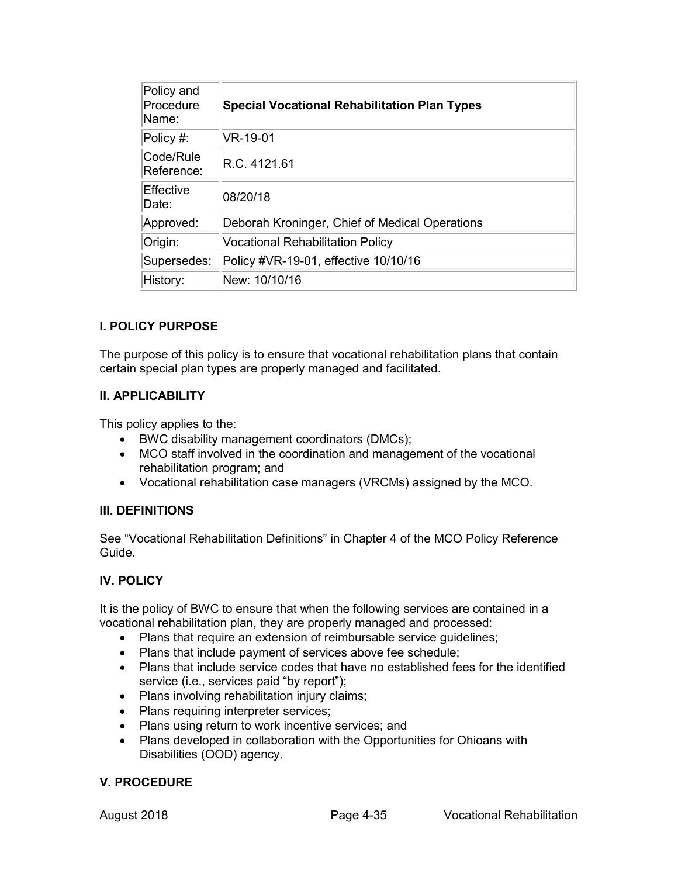| Policy and<br>Procedure<br>Name: | <b>Special Vocational Rehabilitation Plan Types</b> |
|----------------------------------|-----------------------------------------------------|
| $\overline{\text{Policy}}$ #:    | VR-19-01                                            |
| Code/Rule<br>Reference:          | R.C. 4121.61                                        |
| Effective<br>Date:               | 08/20/18                                            |
| Approved:                        | Deborah Kroninger, Chief of Medical Operations      |
| Origin:                          | <b>Vocational Rehabilitation Policy</b>             |
| Supersedes:                      | Policy #VR-19-01, effective 10/10/16                |
| History:                         | New: 10/10/16                                       |

The purpose of this policy is to ensure that vocational rehabilitation plans that contain certain special plan types are properly managed and facilitated.

## **II. APPLICABILITY**

This policy applies to the:

- BWC disability management coordinators (DMCs);
- MCO staff involved in the coordination and management of the vocational rehabilitation program; and
- Vocational rehabilitation case managers (VRCMs) assigned by the MCO.

### **III. DEFINITIONS**

See "Vocational Rehabilitation Definitions" in Chapter 4 of the MCO Policy Reference Guide.

## **IV. POLICY**

It is the policy of BWC to ensure that when the following services are contained in a vocational rehabilitation plan, they are properly managed and processed:

- Plans that require an extension of reimbursable service guidelines;
- Plans that include payment of services above fee schedule;
- Plans that include service codes that have no established fees for the identified service (i.e., services paid "by report");
- Plans involving rehabilitation injury claims;
- Plans requiring interpreter services;
- Plans using return to work incentive services; and
- Plans developed in collaboration with the Opportunities for Ohioans with Disabilities (OOD) agency.

### **V. PROCEDURE**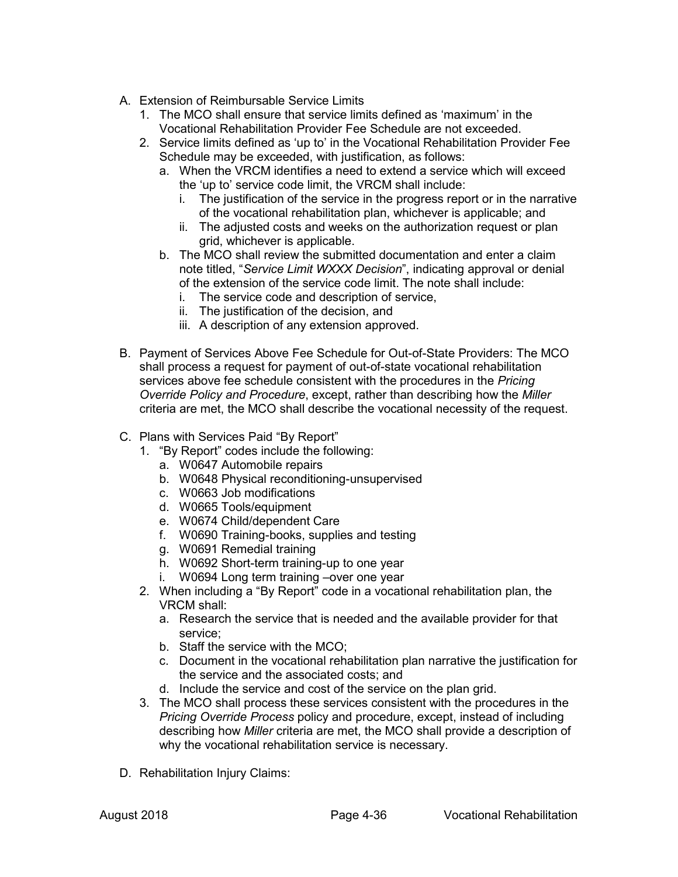- A. Extension of Reimbursable Service Limits
	- 1. The MCO shall ensure that service limits defined as 'maximum' in the Vocational Rehabilitation Provider Fee Schedule are not exceeded.
	- 2. Service limits defined as 'up to' in the Vocational Rehabilitation Provider Fee Schedule may be exceeded, with justification, as follows:
		- a. When the VRCM identifies a need to extend a service which will exceed the 'up to' service code limit, the VRCM shall include:
			- i. The justification of the service in the progress report or in the narrative of the vocational rehabilitation plan, whichever is applicable; and
			- ii. The adjusted costs and weeks on the authorization request or plan grid, whichever is applicable.
		- b. The MCO shall review the submitted documentation and enter a claim note titled, "*Service Limit WXXX Decision*", indicating approval or denial of the extension of the service code limit. The note shall include:
			- i. The service code and description of service,
			- ii. The justification of the decision, and
			- iii. A description of any extension approved.
- B. Payment of Services Above Fee Schedule for Out-of-State Providers: The MCO shall process a request for payment of out-of-state vocational rehabilitation services above fee schedule consistent with the procedures in the *Pricing Override Policy and Procedure*, except, rather than describing how the *Miller*  criteria are met, the MCO shall describe the vocational necessity of the request.
- C. Plans with Services Paid "By Report"
	- 1. "By Report" codes include the following:
		- a. W0647 Automobile repairs
		- b. W0648 Physical reconditioning-unsupervised
		- c. W0663 Job modifications
		- d. W0665 Tools/equipment
		- e. W0674 Child/dependent Care
		- f. W0690 Training-books, supplies and testing
		- g. W0691 Remedial training
		- h. W0692 Short-term training-up to one year
		- i. W0694 Long term training –over one year
	- 2. When including a "By Report" code in a vocational rehabilitation plan, the VRCM shall:
		- a. Research the service that is needed and the available provider for that service;
		- b. Staff the service with the MCO;
		- c. Document in the vocational rehabilitation plan narrative the justification for the service and the associated costs; and
		- d. Include the service and cost of the service on the plan grid.
	- 3. The MCO shall process these services consistent with the procedures in the *Pricing Override Process* policy and procedure, except, instead of including describing how *Miller* criteria are met, the MCO shall provide a description of why the vocational rehabilitation service is necessary.
- D. Rehabilitation Injury Claims: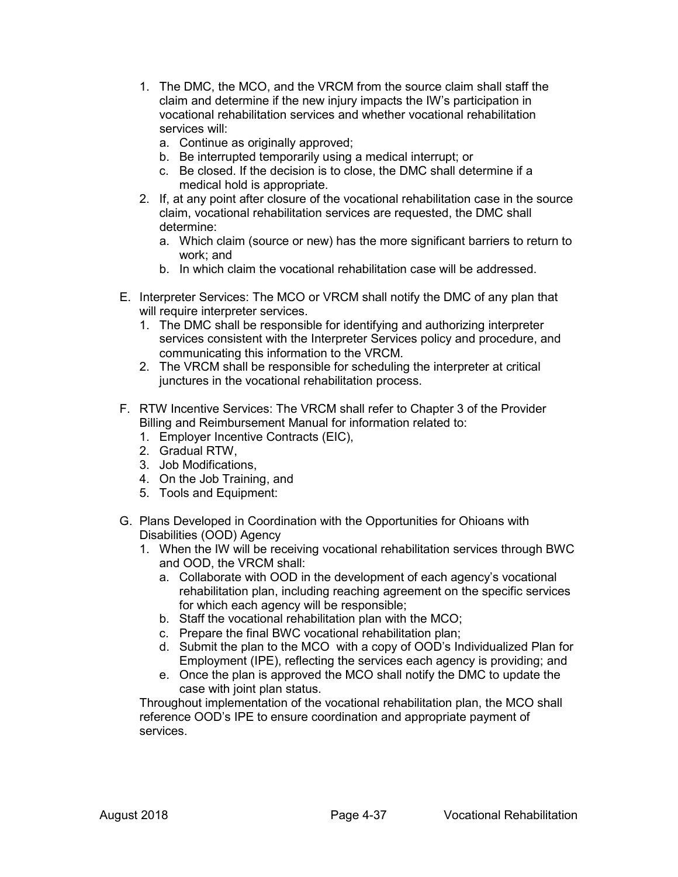- 1. The DMC, the MCO, and the VRCM from the source claim shall staff the claim and determine if the new injury impacts the IW's participation in vocational rehabilitation services and whether vocational rehabilitation services will:
	- a. Continue as originally approved;
	- b. Be interrupted temporarily using a medical interrupt; or
	- c. Be closed. If the decision is to close, the DMC shall determine if a medical hold is appropriate.
- 2. If, at any point after closure of the vocational rehabilitation case in the source claim, vocational rehabilitation services are requested, the DMC shall determine:
	- a. Which claim (source or new) has the more significant barriers to return to work; and
	- b. In which claim the vocational rehabilitation case will be addressed.
- E. Interpreter Services: The MCO or VRCM shall notify the DMC of any plan that will require interpreter services.
	- 1. The DMC shall be responsible for identifying and authorizing interpreter services consistent with the Interpreter Services policy and procedure, and communicating this information to the VRCM.
	- 2. The VRCM shall be responsible for scheduling the interpreter at critical junctures in the vocational rehabilitation process.
- F. RTW Incentive Services: The VRCM shall refer to Chapter 3 of the Provider Billing and Reimbursement Manual for information related to:
	- 1. Employer Incentive Contracts (EIC),
	- 2. Gradual RTW,
	- 3. Job Modifications,
	- 4. On the Job Training, and
	- 5. Tools and Equipment:
- G. Plans Developed in Coordination with the Opportunities for Ohioans with Disabilities (OOD) Agency
	- 1. When the IW will be receiving vocational rehabilitation services through BWC and OOD, the VRCM shall:
		- a. Collaborate with OOD in the development of each agency's vocational rehabilitation plan, including reaching agreement on the specific services for which each agency will be responsible;
		- b. Staff the vocational rehabilitation plan with the MCO;
		- c. Prepare the final BWC vocational rehabilitation plan;
		- d. Submit the plan to the MCO with a copy of OOD's Individualized Plan for Employment (IPE), reflecting the services each agency is providing; and
		- e. Once the plan is approved the MCO shall notify the DMC to update the case with joint plan status.

Throughout implementation of the vocational rehabilitation plan, the MCO shall reference OOD's IPE to ensure coordination and appropriate payment of services.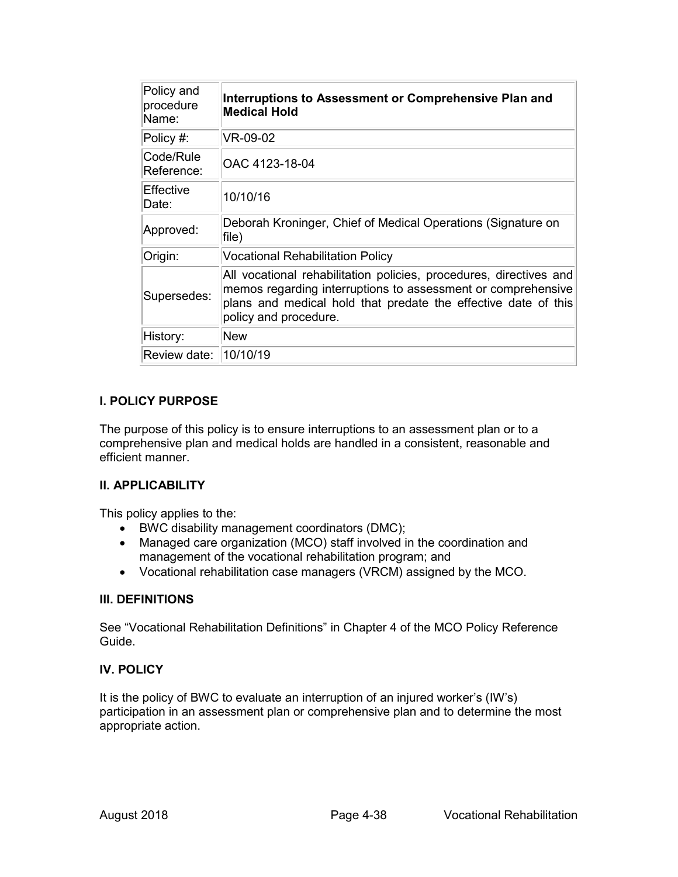| Policy and<br>procedure<br>Name: | Interruptions to Assessment or Comprehensive Plan and<br><b>Medical Hold</b>                                                                                                                                                  |
|----------------------------------|-------------------------------------------------------------------------------------------------------------------------------------------------------------------------------------------------------------------------------|
| Policy #:                        | VR-09-02                                                                                                                                                                                                                      |
| Code/Rule<br>Reference:          | OAC 4123-18-04                                                                                                                                                                                                                |
| <b>Effective</b><br>Date:        | 10/10/16                                                                                                                                                                                                                      |
| Approved:                        | Deborah Kroninger, Chief of Medical Operations (Signature on<br>file)                                                                                                                                                         |
| Origin:                          | <b>Vocational Rehabilitation Policy</b>                                                                                                                                                                                       |
| Supersedes:                      | All vocational rehabilitation policies, procedures, directives and<br>memos regarding interruptions to assessment or comprehensive<br>plans and medical hold that predate the effective date of this<br>policy and procedure. |
| History:                         | New                                                                                                                                                                                                                           |
| Review date:   10/10/19          |                                                                                                                                                                                                                               |

The purpose of this policy is to ensure interruptions to an assessment plan or to a comprehensive plan and medical holds are handled in a consistent, reasonable and efficient manner.

### **II. APPLICABILITY**

This policy applies to the:

- BWC disability management coordinators (DMC);
- Managed care organization (MCO) staff involved in the coordination and management of the vocational rehabilitation program; and
- Vocational rehabilitation case managers (VRCM) assigned by the MCO.

### **III. DEFINITIONS**

See "Vocational Rehabilitation Definitions" in Chapter 4 of the MCO Policy Reference Guide.

## **IV. POLICY**

It is the policy of BWC to evaluate an interruption of an injured worker's (IW's) participation in an assessment plan or comprehensive plan and to determine the most appropriate action.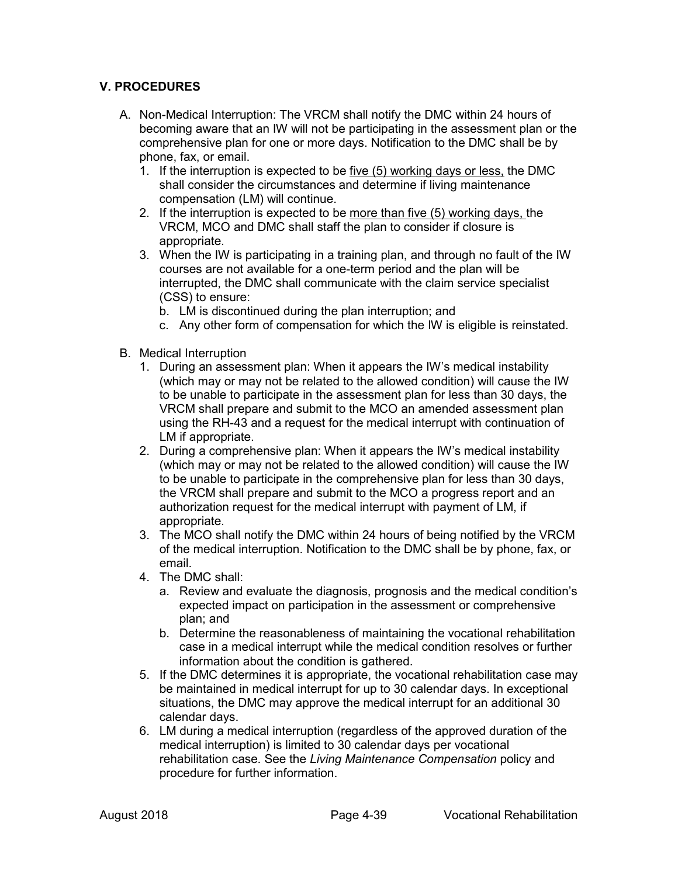## **V. PROCEDURES**

- A. Non-Medical Interruption: The VRCM shall notify the DMC within 24 hours of becoming aware that an IW will not be participating in the assessment plan or the comprehensive plan for one or more days. Notification to the DMC shall be by phone, fax, or email.
	- 1. If the interruption is expected to be five (5) working days or less, the DMC shall consider the circumstances and determine if living maintenance compensation (LM) will continue.
	- 2. If the interruption is expected to be more than five (5) working days, the VRCM, MCO and DMC shall staff the plan to consider if closure is appropriate.
	- 3. When the IW is participating in a training plan, and through no fault of the IW courses are not available for a one-term period and the plan will be interrupted, the DMC shall communicate with the claim service specialist (CSS) to ensure:
		- b. LM is discontinued during the plan interruption; and
		- c. Any other form of compensation for which the IW is eligible is reinstated.
- B. Medical Interruption
	- 1. During an assessment plan: When it appears the IW's medical instability (which may or may not be related to the allowed condition) will cause the IW to be unable to participate in the assessment plan for less than 30 days, the VRCM shall prepare and submit to the MCO an amended assessment plan using the RH-43 and a request for the medical interrupt with continuation of LM if appropriate.
	- 2. During a comprehensive plan: When it appears the IW's medical instability (which may or may not be related to the allowed condition) will cause the IW to be unable to participate in the comprehensive plan for less than 30 days, the VRCM shall prepare and submit to the MCO a progress report and an authorization request for the medical interrupt with payment of LM, if appropriate.
	- 3. The MCO shall notify the DMC within 24 hours of being notified by the VRCM of the medical interruption. Notification to the DMC shall be by phone, fax, or email.
	- 4. The DMC shall:
		- a. Review and evaluate the diagnosis, prognosis and the medical condition's expected impact on participation in the assessment or comprehensive plan; and
		- b. Determine the reasonableness of maintaining the vocational rehabilitation case in a medical interrupt while the medical condition resolves or further information about the condition is gathered.
	- 5. If the DMC determines it is appropriate, the vocational rehabilitation case may be maintained in medical interrupt for up to 30 calendar days. In exceptional situations, the DMC may approve the medical interrupt for an additional 30 calendar days.
	- 6. LM during a medical interruption (regardless of the approved duration of the medical interruption) is limited to 30 calendar days per vocational rehabilitation case. See the *Living Maintenance Compensation* policy and procedure for further information.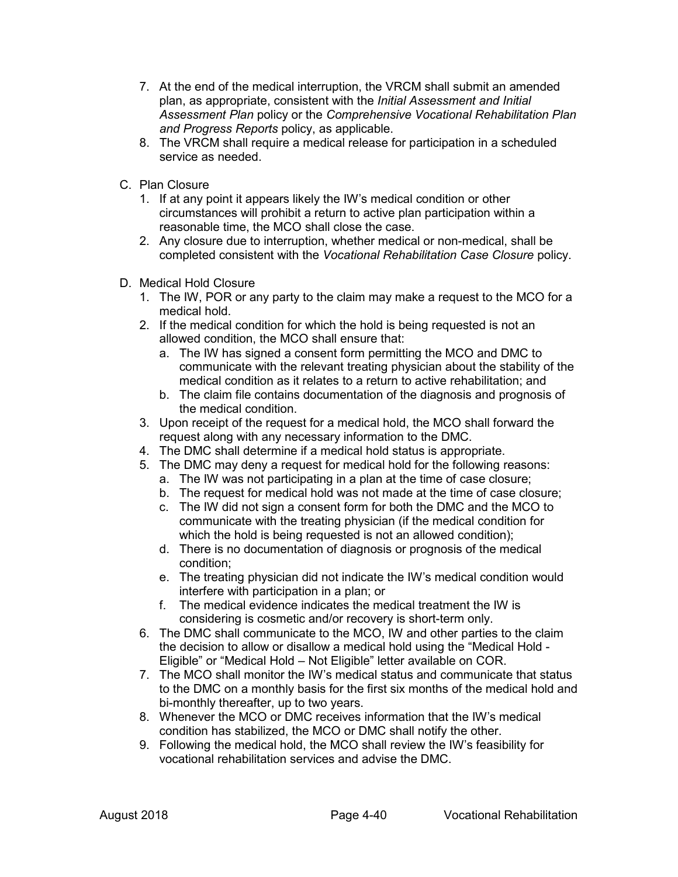- 7. At the end of the medical interruption, the VRCM shall submit an amended plan, as appropriate, consistent with the *Initial Assessment and Initial Assessment Plan* policy or the *Comprehensive Vocational Rehabilitation Plan and Progress Reports* policy, as applicable.
- 8. The VRCM shall require a medical release for participation in a scheduled service as needed.
- C. Plan Closure
	- 1. If at any point it appears likely the IW's medical condition or other circumstances will prohibit a return to active plan participation within a reasonable time, the MCO shall close the case.
	- 2. Any closure due to interruption, whether medical or non-medical, shall be completed consistent with the *Vocational Rehabilitation Case Closure* policy.
- D. Medical Hold Closure
	- 1. The IW, POR or any party to the claim may make a request to the MCO for a medical hold.
	- 2. If the medical condition for which the hold is being requested is not an allowed condition, the MCO shall ensure that:
		- a. The IW has signed a consent form permitting the MCO and DMC to communicate with the relevant treating physician about the stability of the medical condition as it relates to a return to active rehabilitation; and
		- b. The claim file contains documentation of the diagnosis and prognosis of the medical condition.
	- 3. Upon receipt of the request for a medical hold, the MCO shall forward the request along with any necessary information to the DMC.
	- 4. The DMC shall determine if a medical hold status is appropriate.
	- 5. The DMC may deny a request for medical hold for the following reasons:
		- a. The IW was not participating in a plan at the time of case closure;
		- b. The request for medical hold was not made at the time of case closure;
		- c. The IW did not sign a consent form for both the DMC and the MCO to communicate with the treating physician (if the medical condition for which the hold is being requested is not an allowed condition);
		- d. There is no documentation of diagnosis or prognosis of the medical condition;
		- e. The treating physician did not indicate the IW's medical condition would interfere with participation in a plan; or
		- f. The medical evidence indicates the medical treatment the IW is considering is cosmetic and/or recovery is short-term only.
	- 6. The DMC shall communicate to the MCO, IW and other parties to the claim the decision to allow or disallow a medical hold using the "Medical Hold - Eligible" or "Medical Hold – Not Eligible" letter available on COR.
	- 7. The MCO shall monitor the IW's medical status and communicate that status to the DMC on a monthly basis for the first six months of the medical hold and bi-monthly thereafter, up to two years.
	- 8. Whenever the MCO or DMC receives information that the IW's medical condition has stabilized, the MCO or DMC shall notify the other.
	- 9. Following the medical hold, the MCO shall review the IW's feasibility for vocational rehabilitation services and advise the DMC.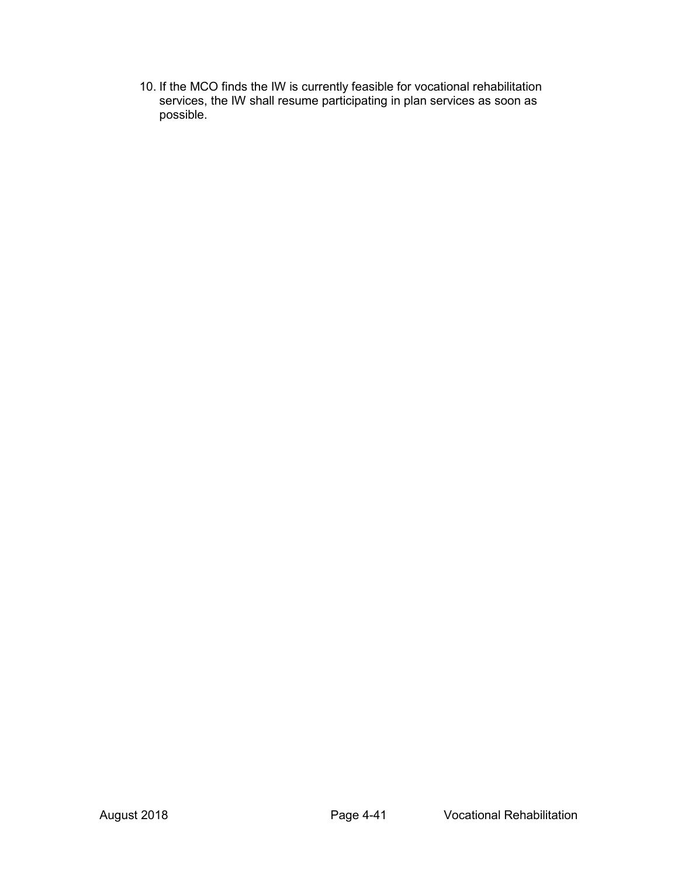10. If the MCO finds the IW is currently feasible for vocational rehabilitation services, the IW shall resume participating in plan services as soon as possible.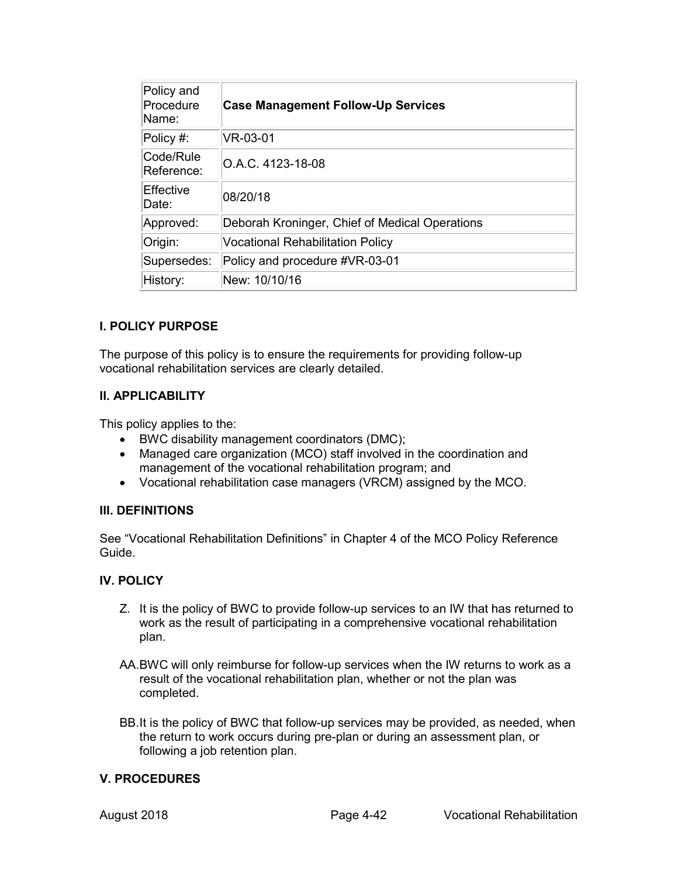| Policy and<br>Procedure<br>Name: | <b>Case Management Follow-Up Services</b>      |
|----------------------------------|------------------------------------------------|
| Policy #:                        | VR-03-01                                       |
| Code/Rule<br>Reference:          | O.A.C. 4123-18-08                              |
| Effective<br>Date:               | 08/20/18                                       |
| Approved:                        | Deborah Kroninger, Chief of Medical Operations |
| Origin:                          | <b>Vocational Rehabilitation Policy</b>        |
| Supersedes:                      | Policy and procedure #VR-03-01                 |
| History:                         | New: 10/10/16                                  |

The purpose of this policy is to ensure the requirements for providing follow-up vocational rehabilitation services are clearly detailed.

### **II. APPLICABILITY**

This policy applies to the:

- BWC disability management coordinators (DMC);
- Managed care organization (MCO) staff involved in the coordination and management of the vocational rehabilitation program; and
- Vocational rehabilitation case managers (VRCM) assigned by the MCO.

### **III. DEFINITIONS**

See "Vocational Rehabilitation Definitions" in Chapter 4 of the MCO Policy Reference Guide.

### **IV. POLICY**

- Z. It is the policy of BWC to provide follow-up services to an IW that has returned to work as the result of participating in a comprehensive vocational rehabilitation plan.
- AA.BWC will only reimburse for follow-up services when the IW returns to work as a result of the vocational rehabilitation plan, whether or not the plan was completed.
- BB.It is the policy of BWC that follow-up services may be provided, as needed, when the return to work occurs during pre-plan or during an assessment plan, or following a job retention plan.

### **V. PROCEDURES**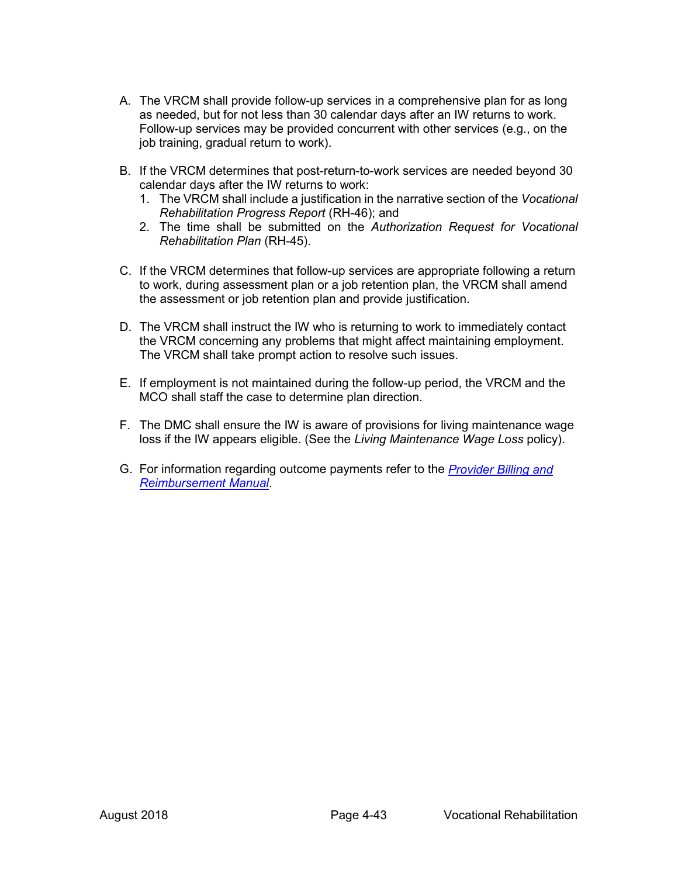- A. The VRCM shall provide follow-up services in a comprehensive plan for as long as needed, but for not less than 30 calendar days after an IW returns to work. Follow-up services may be provided concurrent with other services (e.g., on the job training, gradual return to work).
- B. If the VRCM determines that post-return-to-work services are needed beyond 30 calendar days after the IW returns to work:
	- 1. The VRCM shall include a justification in the narrative section of the *Vocational Rehabilitation Progress Report* (RH-46); and
	- 2. The time shall be submitted on the *Authorization Request for Vocational Rehabilitation Plan* (RH-45).
- C. If the VRCM determines that follow-up services are appropriate following a return to work, during assessment plan or a job retention plan, the VRCM shall amend the assessment or job retention plan and provide justification.
- D. The VRCM shall instruct the IW who is returning to work to immediately contact the VRCM concerning any problems that might affect maintaining employment. The VRCM shall take prompt action to resolve such issues.
- E. If employment is not maintained during the follow-up period, the VRCM and the MCO shall staff the case to determine plan direction.
- F. The DMC shall ensure the IW is aware of provisions for living maintenance wage loss if the IW appears eligible. (See the *Living Maintenance Wage Loss* policy).
- G. For information regarding outcome payments refer to the *[Provider Billing and](https://www.bwc.ohio.gov/provider/services/brmdefault.asp)  [Reimbursement Manual](https://www.bwc.ohio.gov/provider/services/brmdefault.asp)*.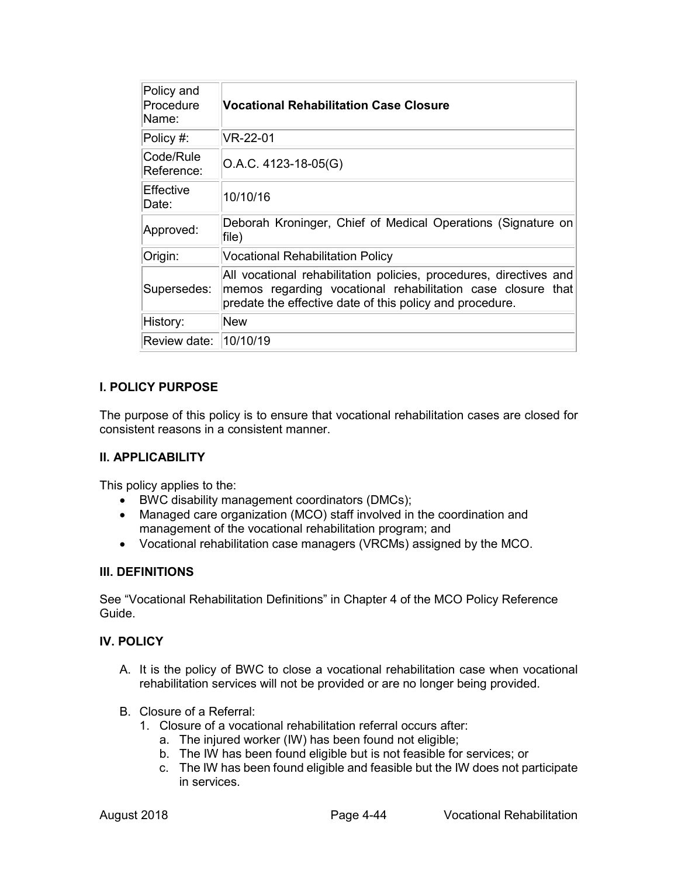| Policy and<br>Procedure<br>Name: | <b>Vocational Rehabilitation Case Closure</b>                                                                                                                                                 |
|----------------------------------|-----------------------------------------------------------------------------------------------------------------------------------------------------------------------------------------------|
| $\mathsf{Policy}$ #:             | VR-22-01                                                                                                                                                                                      |
| Code/Rule<br>Reference:          | $O.A.C. 4123-18-05(G)$                                                                                                                                                                        |
| lEffective<br>Date:              | 10/10/16                                                                                                                                                                                      |
| Approved:                        | Deborah Kroninger, Chief of Medical Operations (Signature on<br>file)                                                                                                                         |
| Origin:                          | <b>Vocational Rehabilitation Policy</b>                                                                                                                                                       |
| Supersedes:                      | All vocational rehabilitation policies, procedures, directives and<br>memos regarding vocational rehabilitation case closure that<br>predate the effective date of this policy and procedure. |
| History:                         | <b>New</b>                                                                                                                                                                                    |
| Review date: 10/10/19            |                                                                                                                                                                                               |

The purpose of this policy is to ensure that vocational rehabilitation cases are closed for consistent reasons in a consistent manner.

### **II. APPLICABILITY**

This policy applies to the:

- BWC disability management coordinators (DMCs);
- Managed care organization (MCO) staff involved in the coordination and management of the vocational rehabilitation program; and
- Vocational rehabilitation case managers (VRCMs) assigned by the MCO.

### **III. DEFINITIONS**

See "Vocational Rehabilitation Definitions" in Chapter 4 of the MCO Policy Reference Guide.

### **IV. POLICY**

- A. It is the policy of BWC to close a vocational rehabilitation case when vocational rehabilitation services will not be provided or are no longer being provided.
- B. Closure of a Referral:
	- 1. Closure of a vocational rehabilitation referral occurs after:
		- a. The injured worker (IW) has been found not eligible;
		- b. The IW has been found eligible but is not feasible for services; or
		- c. The IW has been found eligible and feasible but the IW does not participate in services.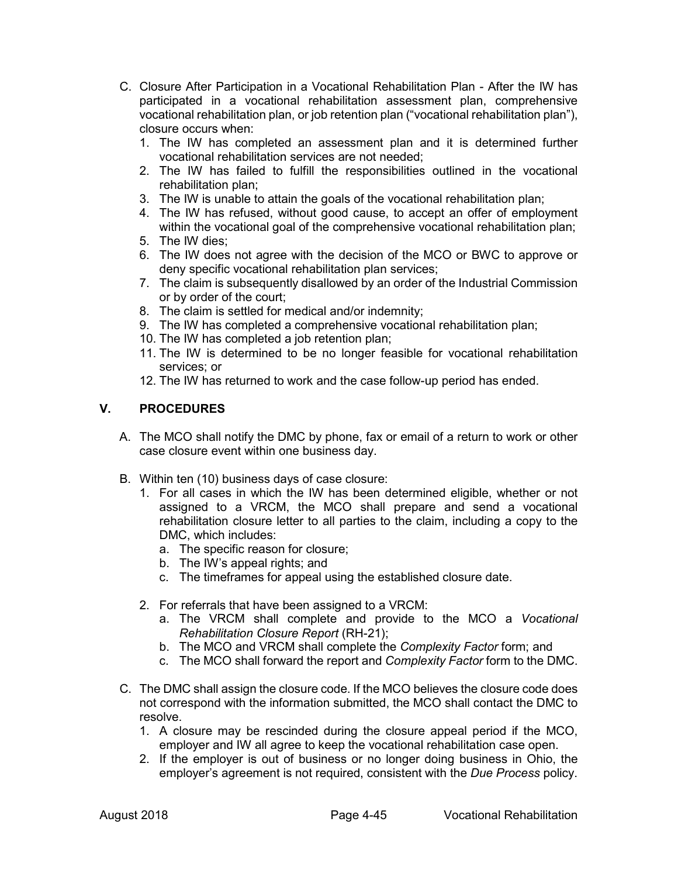- C. Closure After Participation in a Vocational Rehabilitation Plan After the IW has participated in a vocational rehabilitation assessment plan, comprehensive vocational rehabilitation plan, or job retention plan ("vocational rehabilitation plan"), closure occurs when:
	- 1. The IW has completed an assessment plan and it is determined further vocational rehabilitation services are not needed;
	- 2. The IW has failed to fulfill the responsibilities outlined in the vocational rehabilitation plan;
	- 3. The IW is unable to attain the goals of the vocational rehabilitation plan;
	- 4. The IW has refused, without good cause, to accept an offer of employment within the vocational goal of the comprehensive vocational rehabilitation plan;
	- 5. The IW dies;
	- 6. The IW does not agree with the decision of the MCO or BWC to approve or deny specific vocational rehabilitation plan services;
	- 7. The claim is subsequently disallowed by an order of the Industrial Commission or by order of the court;
	- 8. The claim is settled for medical and/or indemnity;
	- 9. The IW has completed a comprehensive vocational rehabilitation plan;
	- 10. The IW has completed a job retention plan;
	- 11. The IW is determined to be no longer feasible for vocational rehabilitation services; or
	- 12. The IW has returned to work and the case follow-up period has ended.

## **V. PROCEDURES**

- A. The MCO shall notify the DMC by phone, fax or email of a return to work or other case closure event within one business day.
- B. Within ten (10) business days of case closure:
	- 1. For all cases in which the IW has been determined eligible, whether or not assigned to a VRCM, the MCO shall prepare and send a vocational rehabilitation closure letter to all parties to the claim, including a copy to the DMC, which includes:
		- a. The specific reason for closure;
		- b. The IW's appeal rights; and
		- c. The timeframes for appeal using the established closure date.
	- 2. For referrals that have been assigned to a VRCM:
		- a. The VRCM shall complete and provide to the MCO a *Vocational Rehabilitation Closure Report* (RH-21);
		- b. The MCO and VRCM shall complete the *Complexity Factor* form; and
		- c. The MCO shall forward the report and *Complexity Factor* form to the DMC.
- C. The DMC shall assign the closure code. If the MCO believes the closure code does not correspond with the information submitted, the MCO shall contact the DMC to resolve.
	- 1. A closure may be rescinded during the closure appeal period if the MCO, employer and IW all agree to keep the vocational rehabilitation case open.
	- 2. If the employer is out of business or no longer doing business in Ohio, the employer's agreement is not required, consistent with the *Due Process* policy.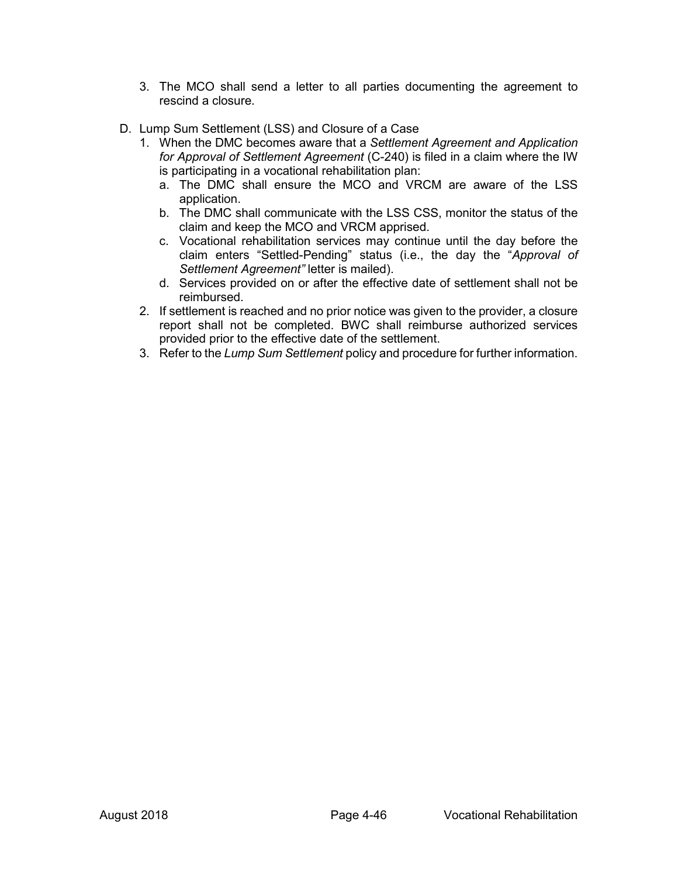- 3. The MCO shall send a letter to all parties documenting the agreement to rescind a closure.
- D. Lump Sum Settlement (LSS) and Closure of a Case
	- 1. When the DMC becomes aware that a *Settlement Agreement and Application for Approval of Settlement Agreement* (C-240) is filed in a claim where the IW is participating in a vocational rehabilitation plan:
		- a. The DMC shall ensure the MCO and VRCM are aware of the LSS application.
		- b. The DMC shall communicate with the LSS CSS, monitor the status of the claim and keep the MCO and VRCM apprised.
		- c. Vocational rehabilitation services may continue until the day before the claim enters "Settled-Pending" status (i.e., the day the "*Approval of Settlement Agreement"* letter is mailed).
		- d. Services provided on or after the effective date of settlement shall not be reimbursed.
	- 2. If settlement is reached and no prior notice was given to the provider, a closure report shall not be completed. BWC shall reimburse authorized services provided prior to the effective date of the settlement.
	- 3. Refer to the *Lump Sum Settlement* policy and procedure for further information.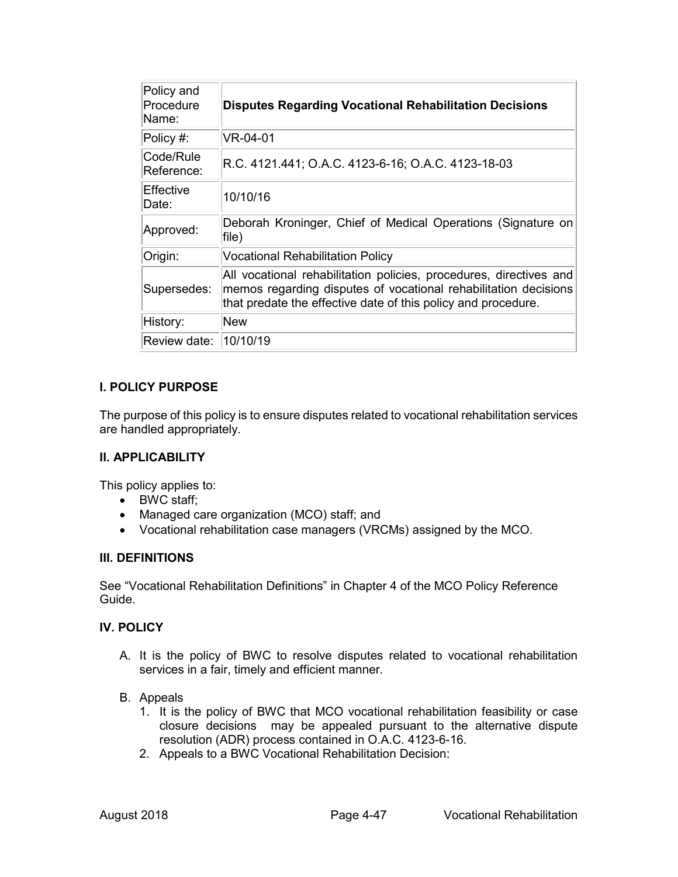| Policy and<br>Procedure<br>Name: | <b>Disputes Regarding Vocational Rehabilitation Decisions</b>                                                                                                                                          |
|----------------------------------|--------------------------------------------------------------------------------------------------------------------------------------------------------------------------------------------------------|
| Policy #:                        | VR-04-01                                                                                                                                                                                               |
| lCode/Rule<br>Reference:         | R.C. 4121.441; O.A.C. 4123-6-16; O.A.C. 4123-18-03                                                                                                                                                     |
| lEffective<br>Date:              | 10/10/16                                                                                                                                                                                               |
| Approved:                        | Deborah Kroninger, Chief of Medical Operations (Signature on<br>file)                                                                                                                                  |
| Origin:                          | <b>Vocational Rehabilitation Policy</b>                                                                                                                                                                |
| Supersedes:                      | All vocational rehabilitation policies, procedures, directives and<br>memos regarding disputes of vocational rehabilitation decisions<br>that predate the effective date of this policy and procedure. |
| History:                         | <b>New</b>                                                                                                                                                                                             |
| Review date:   10/10/19          |                                                                                                                                                                                                        |

The purpose of this policy is to ensure disputes related to vocational rehabilitation services are handled appropriately.

#### **II. APPLICABILITY**

This policy applies to:

- BWC staff;
- Managed care organization (MCO) staff; and
- Vocational rehabilitation case managers (VRCMs) assigned by the MCO.

### **III. DEFINITIONS**

See "Vocational Rehabilitation Definitions" in Chapter 4 of the MCO Policy Reference Guide.

### **IV. POLICY**

- A. It is the policy of BWC to resolve disputes related to vocational rehabilitation services in a fair, timely and efficient manner.
- B. Appeals
	- 1. It is the policy of BWC that MCO vocational rehabilitation feasibility or case closure decisions may be appealed pursuant to the alternative dispute resolution (ADR) process contained in O.A.C. 4123-6-16.
	- 2. Appeals to a BWC Vocational Rehabilitation Decision: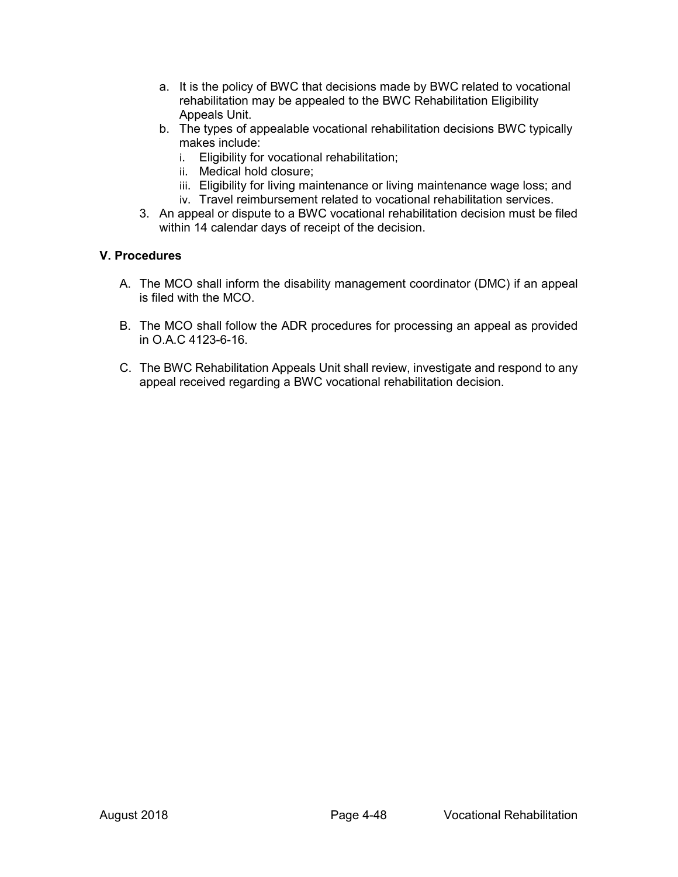- a. It is the policy of BWC that decisions made by BWC related to vocational rehabilitation may be appealed to the BWC Rehabilitation Eligibility Appeals Unit.
- b. The types of appealable vocational rehabilitation decisions BWC typically makes include:
	- i. Eligibility for vocational rehabilitation;
	- ii. Medical hold closure;
	- iii. Eligibility for living maintenance or living maintenance wage loss; and
	- iv. Travel reimbursement related to vocational rehabilitation services.
- 3. An appeal or dispute to a BWC vocational rehabilitation decision must be filed within 14 calendar days of receipt of the decision.

### **V. Procedures**

- A. The MCO shall inform the disability management coordinator (DMC) if an appeal is filed with the MCO.
- B. The MCO shall follow the ADR procedures for processing an appeal as provided in O.A.C 4123-6-16.
- C. The BWC Rehabilitation Appeals Unit shall review, investigate and respond to any appeal received regarding a BWC vocational rehabilitation decision.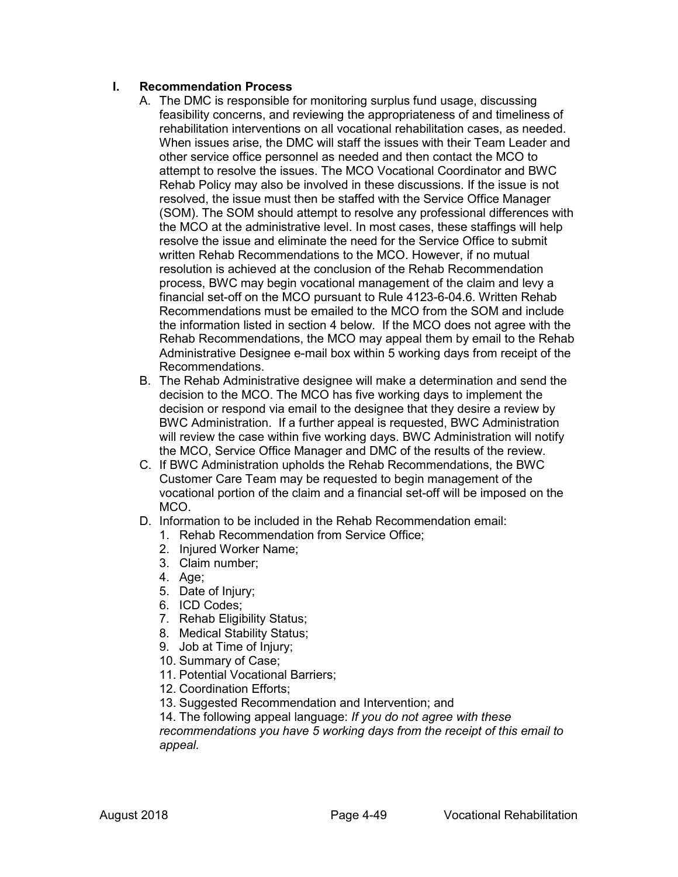## **I. Recommendation Process**

- A. The DMC is responsible for monitoring surplus fund usage, discussing feasibility concerns, and reviewing the appropriateness of and timeliness of rehabilitation interventions on all vocational rehabilitation cases, as needed. When issues arise, the DMC will staff the issues with their Team Leader and other service office personnel as needed and then contact the MCO to attempt to resolve the issues. The MCO Vocational Coordinator and BWC Rehab Policy may also be involved in these discussions. If the issue is not resolved, the issue must then be staffed with the Service Office Manager (SOM). The SOM should attempt to resolve any professional differences with the MCO at the administrative level. In most cases, these staffings will help resolve the issue and eliminate the need for the Service Office to submit written Rehab Recommendations to the MCO. However, if no mutual resolution is achieved at the conclusion of the Rehab Recommendation process, BWC may begin vocational management of the claim and levy a financial set-off on the MCO pursuant to Rule 4123-6-04.6. Written Rehab Recommendations must be emailed to the MCO from the SOM and include the information listed in section 4 below. If the MCO does not agree with the Rehab Recommendations, the MCO may appeal them by email to the Rehab Administrative Designee e-mail box within 5 working days from receipt of the Recommendations.
- B. The Rehab Administrative designee will make a determination and send the decision to the MCO. The MCO has five working days to implement the decision or respond via email to the designee that they desire a review by BWC Administration. If a further appeal is requested, BWC Administration will review the case within five working days. BWC Administration will notify the MCO, Service Office Manager and DMC of the results of the review.
- C. If BWC Administration upholds the Rehab Recommendations, the BWC Customer Care Team may be requested to begin management of the vocational portion of the claim and a financial set-off will be imposed on the MCO.
- D. Information to be included in the Rehab Recommendation email:
	- 1. Rehab Recommendation from Service Office;
	- 2. Injured Worker Name;
	- 3. Claim number;
	- 4. Age;
	- 5. Date of Injury;
	- 6. ICD Codes;
	- 7. Rehab Eligibility Status;
	- 8. Medical Stability Status;
	- 9. Job at Time of Injury;
	- 10. Summary of Case;
	- 11. Potential Vocational Barriers;
	- 12. Coordination Efforts;
	- 13. Suggested Recommendation and Intervention; and

14. The following appeal language: *If you do not agree with these recommendations you have 5 working days from the receipt of this email to*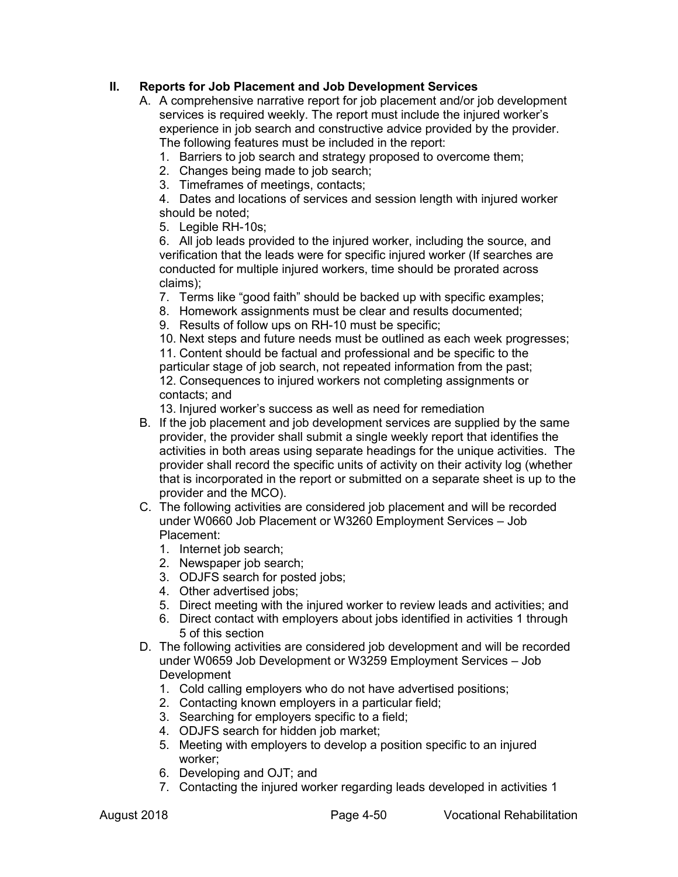## **II. Reports for Job Placement and Job Development Services**

- A. A comprehensive narrative report for job placement and/or job development services is required weekly. The report must include the injured worker's experience in job search and constructive advice provided by the provider. The following features must be included in the report:
	- 1. Barriers to job search and strategy proposed to overcome them;
	- 2. Changes being made to job search;
	- 3. Timeframes of meetings, contacts;

4. Dates and locations of services and session length with injured worker should be noted;

5. Legible RH-10s;

6. All job leads provided to the injured worker, including the source, and verification that the leads were for specific injured worker (If searches are conducted for multiple injured workers, time should be prorated across claims);

7. Terms like "good faith" should be backed up with specific examples;

8. Homework assignments must be clear and results documented;

9. Results of follow ups on RH-10 must be specific;

10. Next steps and future needs must be outlined as each week progresses;

11. Content should be factual and professional and be specific to the particular stage of job search, not repeated information from the past; 12. Consequences to injured workers not completing assignments or contacts; and

13. Injured worker's success as well as need for remediation

- B. If the job placement and job development services are supplied by the same provider, the provider shall submit a single weekly report that identifies the activities in both areas using separate headings for the unique activities. The provider shall record the specific units of activity on their activity log (whether that is incorporated in the report or submitted on a separate sheet is up to the provider and the MCO).
- C. The following activities are considered job placement and will be recorded under W0660 Job Placement or W3260 Employment Services – Job Placement:
	- 1. Internet job search;
	- 2. Newspaper job search;
	- 3. ODJFS search for posted jobs;
	- 4. Other advertised jobs;
	- 5. Direct meeting with the injured worker to review leads and activities; and
	- 6. Direct contact with employers about jobs identified in activities 1 through 5 of this section
- D. The following activities are considered job development and will be recorded under W0659 Job Development or W3259 Employment Services – Job Development
	- 1. Cold calling employers who do not have advertised positions;
	- 2. Contacting known employers in a particular field;
	- 3. Searching for employers specific to a field;
	- 4. ODJFS search for hidden job market;
	- 5. Meeting with employers to develop a position specific to an injured worker;
	- 6. Developing and OJT; and
	- 7. Contacting the injured worker regarding leads developed in activities 1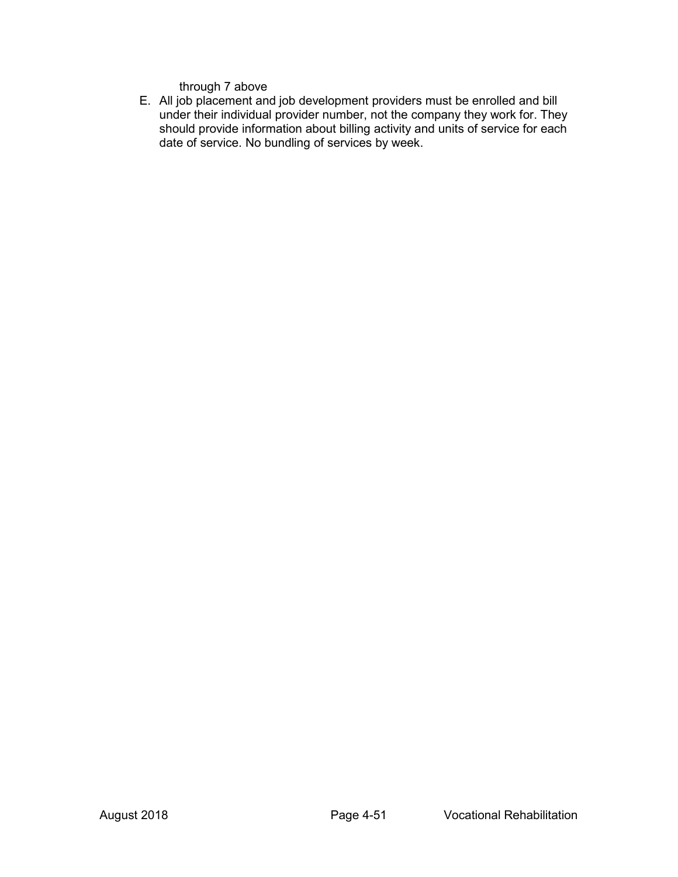through 7 above

E. All job placement and job development providers must be enrolled and bill under their individual provider number, not the company they work for. They should provide information about billing activity and units of service for each date of service. No bundling of services by week.